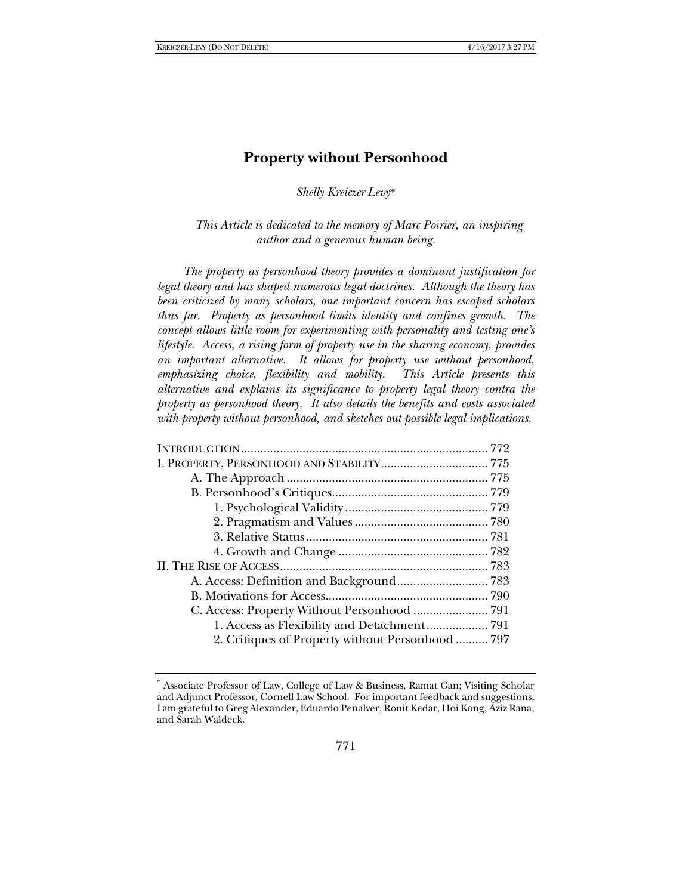# **Property without Personhood**

*Shelly Kreiczer-Levy*\*

*This Article is dedicated to the memory of Marc Poirier, an inspiring author and a generous human being.*

*The property as personhood theory provides a dominant justification for legal theory and has shaped numerous legal doctrines. Although the theory has been criticized by many scholars, one important concern has escaped scholars thus far. Property as personhood limits identity and confines growth. The concept allows little room for experimenting with personality and testing one's lifestyle. Access, a rising form of property use in the sharing economy, provides an important alternative. It allows for property use without personhood, emphasizing choice, flexibility and mobility. This Article presents this alternative and explains its significance to property legal theory contra the property as personhood theory. It also details the benefits and costs associated with property without personhood, and sketches out possible legal implications.* 

| 2. Critiques of Property without Personhood  797 |  |
|--------------------------------------------------|--|
|                                                  |  |

<sup>\*</sup> Associate Professor of Law, College of Law & Business, Ramat Gan; Visiting Scholar and Adjunct Professor, Cornell Law School. For important feedback and suggestions, I am grateful to Greg Alexander, Eduardo Peñalver, Ronit Kedar, Hoi Kong, Aziz Rana, and Sarah Waldeck.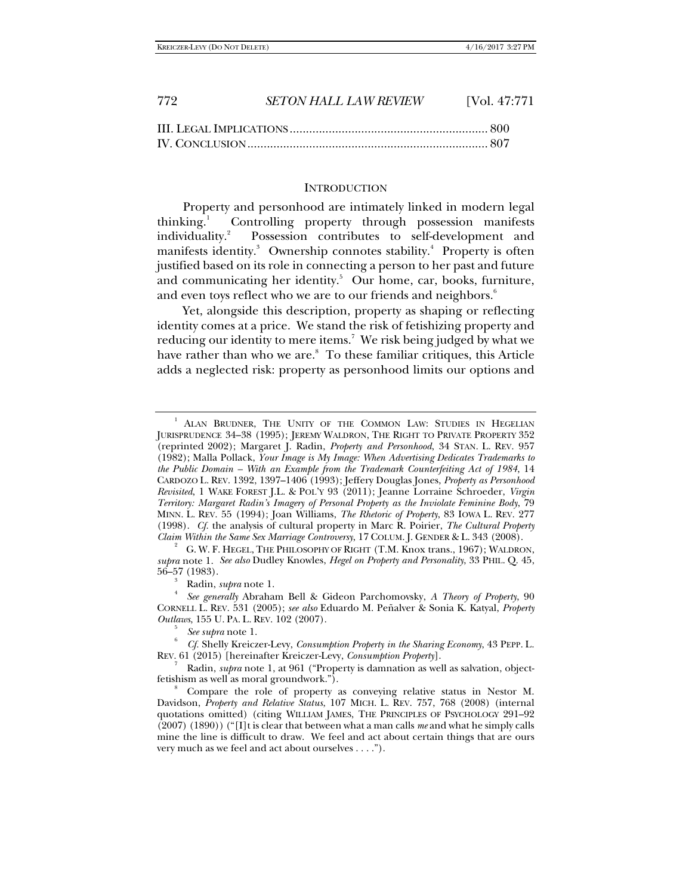| 772 | <b>SETON HALL LAW REVIEW</b> | [Vol. $47:771$ ] |
|-----|------------------------------|------------------|
|     |                              |                  |

### **INTRODUCTION**

Property and personhood are intimately linked in modern legal thinking. $\frac{1}{2}$  Controlling property through possession manifests individuality.<sup>2</sup> Possession contributes to self-development and manifests identity.<sup>3</sup> Ownership connotes stability.<sup>4</sup> Property is often justified based on its role in connecting a person to her past and future and communicating her identity.<sup>5</sup> Our home, car, books, furniture, and even toys reflect who we are to our friends and neighbors.<sup>6</sup>

Yet, alongside this description, property as shaping or reflecting identity comes at a price. We stand the risk of fetishizing property and reducing our identity to mere items.7 We risk being judged by what we have rather than who we are.<sup>8</sup> To these familiar critiques, this Article adds a neglected risk: property as personhood limits our options and

 $\int_{4}^{3}$  Radin, *supra* note 1.

<sup>1</sup> ALAN BRUDNER, THE UNITY OF THE COMMON LAW: STUDIES IN HEGELIAN JURISPRUDENCE 34–38 (1995); JEREMY WALDRON, THE RIGHT TO PRIVATE PROPERTY 352 (reprinted 2002); Margaret J. Radin, *Property and Personhood*, 34 STAN. L. REV. 957 (1982); Malla Pollack, *Your Image is My Image: When Advertising Dedicates Trademarks to the Public Domain – With an Example from the Trademark Counterfeiting Act of 1984*, 14 CARDOZO L. REV. 1392, 1397–1406 (1993); Jeffery Douglas Jones, *Property as Personhood Revisited*, 1 WAKE FOREST J.L. & POL'Y 93 (2011); Jeanne Lorraine Schroeder, *Virgin Territory: Margaret Radin's Imagery of Personal Property as the Inviolate Feminine Body*, 79 MINN. L. REV. 55 (1994); Joan Williams, *The Rhetoric of Property*, 83 IOWA L. REV. 277 (1998). *Cf.* the analysis of cultural property in Marc R. Poirier, *The Cultural Property* 

G. W. F. HEGEL, THE PHILOSOPHY OF RIGHT (T.M. Knox trans., 1967); WALDRON, *supra* note 1. *See also* Dudley Knowles, *Hegel on Property and Personality*, 33 PHIL. Q. 45, 56–57 (1983). 3

*See generally* Abraham Bell & Gideon Parchomovsky, *A Theory of Property*, 90 CORNELL L. REV. 531 (2005); *see also* Eduardo M. Peñalver & Sonia K. Katyal, *Property Outlaws*, 155 U. PA. L. REV. 102 (2007).

*See supra* note 1. 6 *Cf.* Shelly Kreiczer-Levy, *Consumption Property in the Sharing Economy*, 43 PEPP. L. REV. 61 (2015) [hereinafter Kreiczer-Levy, *Consumption Property*]. 7

Radin, *supra* note 1, at 961 ("Property is damnation as well as salvation, objectfetishism as well as moral groundwork.").

Compare the role of property as conveying relative status in Nestor M. Davidson, *Property and Relative Status*, 107 MICH. L. REV. 757, 768 (2008) (internal quotations omitted) (citing WILLIAM JAMES, THE PRINCIPLES OF PSYCHOLOGY 291–92 (2007) (1890)) ("[I]t is clear that between what a man calls *me* and what he simply calls mine the line is difficult to draw. We feel and act about certain things that are ours very much as we feel and act about ourselves . . . .").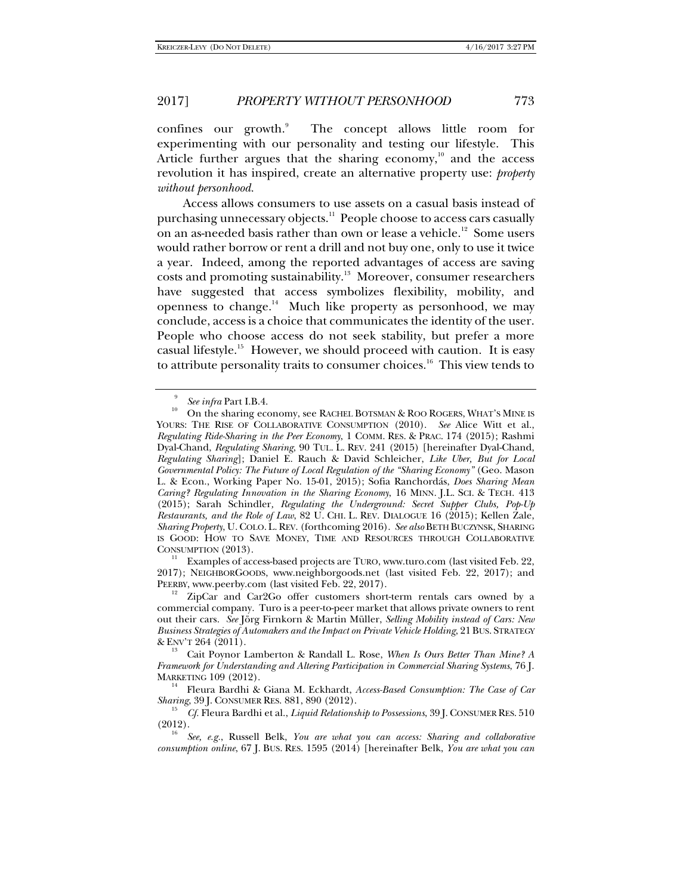confines our growth.<sup>9</sup> The concept allows little room for experimenting with our personality and testing our lifestyle. This Article further argues that the sharing economy, $10$  and the access revolution it has inspired, create an alternative property use: *property without personhood.* 

Access allows consumers to use assets on a casual basis instead of purchasing unnecessary objects.<sup>11</sup> People choose to access cars casually on an as-needed basis rather than own or lease a vehicle.<sup>12</sup> Some users would rather borrow or rent a drill and not buy one, only to use it twice a year. Indeed, among the reported advantages of access are saving costs and promoting sustainability.<sup>13</sup> Moreover, consumer researchers have suggested that access symbolizes flexibility, mobility, and openness to change. $14$  Much like property as personhood, we may conclude, access is a choice that communicates the identity of the user. People who choose access do not seek stability, but prefer a more casual lifestyle.<sup>15</sup> However, we should proceed with caution. It is easy to attribute personality traits to consumer choices.<sup>16</sup> This view tends to

 $^{11}$  Examples of access-based projects are TURO, www.turo.com (last visited Feb. 22, 2017); NEIGHBORGOODS, www.neighborgoods.net (last visited Feb. 22, 2017); and

<sup>9</sup>

<sup>&</sup>lt;sup>9</sup> See *infra* Part I.B.4.<br><sup>10</sup> On the sharing economy, see RACHEL BOTSMAN & ROO ROGERS, WHAT'S MINE IS YOURS: THE RISE OF COLLABORATIVE CONSUMPTION (2010). *See* Alice Witt et al., *Regulating Ride-Sharing in the Peer Economy*, 1 COMM. RES. & PRAC. 174 (2015); Rashmi Dyal-Chand, *Regulating Sharing*, 90 TUL. L. REV. 241 (2015) [hereinafter Dyal-Chand, *Regulating Sharing*]; Daniel E. Rauch & David Schleicher, *Like Uber, But for Local Governmental Policy: The Future of Local Regulation of the "Sharing Economy"* (Geo. Mason L. & Econ., Working Paper No. 15-01, 2015); Sofia Ranchordás, *Does Sharing Mean Caring? Regulating Innovation in the Sharing Economy*, 16 MINN. J.L. SCI. & TECH. 413 (2015); Sarah Schindler*, Regulating the Underground: Secret Supper Clubs, Pop-Up Restaurants, and the Role of Law*, 82 U. CHI. L. REV. DIALOGUE 16 (2015); Kellen Zale, *Sharing Property*, U.COLO.L.REV. (forthcoming 2016). *See also* BETH BUCZYNSK, SHARING IS GOOD: HOW TO SAVE MONEY, TIME AND RESOURCES THROUGH COLLABORATIVE CONSUMPTION (2013).

<sup>&</sup>lt;sup>12</sup> ZipCar and Car2Go offer customers short-term rentals cars owned by a commercial company. Turo is a peer-to-peer market that allows private owners to rent out their cars. *See* Jörg Firnkorn & Martin Müller, *Selling Mobility instead of Cars: New Business Strategies of Automakers and the Impact on Private Vehicle Holding*, 21BUS. STRATEGY & ENV'T 264 (2011). 13

Cait Poynor Lamberton & Randall L. Rose, *When Is Ours Better Than Mine? A Framework for Understanding and Altering Participation in Commercial Sharing Systems*, 76 J.

<sup>&</sup>lt;sup>14</sup> Fleura Bardhi & Giana M. Eckhardt, *Access-Based Consumption: The Case of Car Sharing*, 39 J. CONSUMER RES. 881, 890 (2012). 15 *Cf.* Fleura Bardhi et al., *Liquid Relationship to Possessions*, 39 J. CONSUMER RES. <sup>510</sup>

 $(2012).$ 

*See, e.g.*, Russell Belk, *You are what you can access: Sharing and collaborative consumption online*, 67 J. BUS. RES. 1595 (2014) [hereinafter Belk, *You are what you can*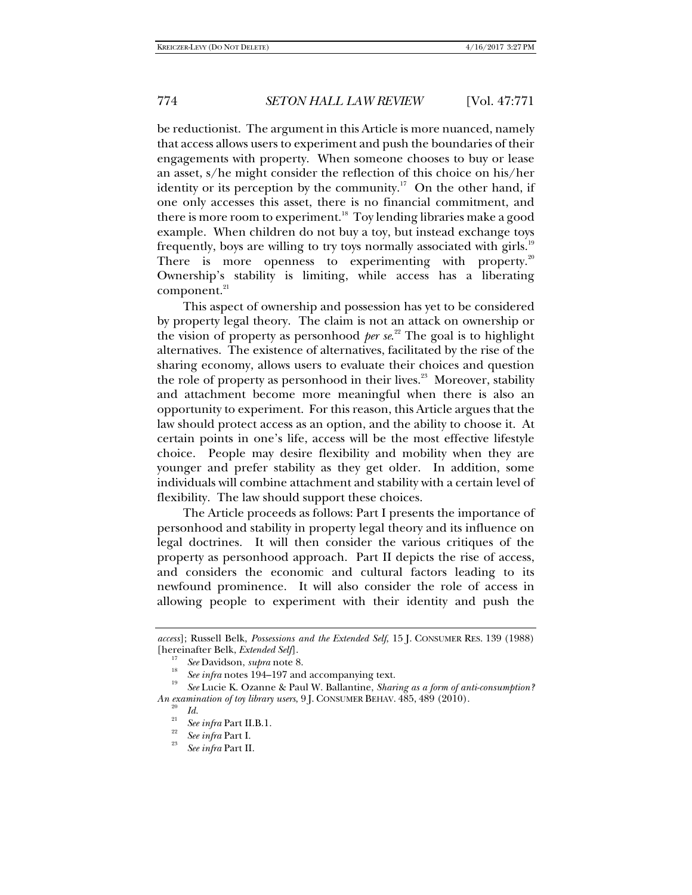be reductionist. The argument in this Article is more nuanced, namely that access allows users to experiment and push the boundaries of their engagements with property. When someone chooses to buy or lease an asset, s/he might consider the reflection of this choice on his/her identity or its perception by the community.<sup>17</sup> On the other hand, if one only accesses this asset, there is no financial commitment, and there is more room to experiment.<sup>18</sup> Toy lending libraries make a good example. When children do not buy a toy, but instead exchange toys frequently, boys are willing to try toys normally associated with girls.<sup>19</sup> There is more openness to experimenting with property.<sup>20</sup> Ownership's stability is limiting, while access has a liberating component.<sup>21</sup>

This aspect of ownership and possession has yet to be considered by property legal theory. The claim is not an attack on ownership or the vision of property as personhood *per se*. 22 The goal is to highlight alternatives. The existence of alternatives, facilitated by the rise of the sharing economy, allows users to evaluate their choices and question the role of property as personhood in their lives.<sup>23</sup> Moreover, stability and attachment become more meaningful when there is also an opportunity to experiment. For this reason, this Article argues that the law should protect access as an option, and the ability to choose it. At certain points in one's life, access will be the most effective lifestyle choice. People may desire flexibility and mobility when they are younger and prefer stability as they get older. In addition, some individuals will combine attachment and stability with a certain level of flexibility. The law should support these choices.

The Article proceeds as follows: Part I presents the importance of personhood and stability in property legal theory and its influence on legal doctrines. It will then consider the various critiques of the property as personhood approach. Part II depicts the rise of access, and considers the economic and cultural factors leading to its newfound prominence. It will also consider the role of access in allowing people to experiment with their identity and push the

*access*]; Russell Belk, *Possessions and the Extended Self*, 15 J. CONSUMER RES. 139 (1988) [hereinafter Belk, *Extended Self*].<br><sup>17</sup> *See* Davidson, *supra* note 8.<br><sup>18</sup> *See infra* notes 194–197 and accompanying text.

*See* Lucie K. Ozanne & Paul W. Ballantine, *Sharing as a form of anti-consumption? An examination of toy library users*, 9 J. CONSUMER BEHAV. 485, 489 (2010).<br><sup>20</sup> *Id.* <sup>21</sup> *21 Z P P P P P P P P P P P P P P P P P P P P* 

<sup>&</sup>lt;sup>21</sup> *See infra* Part II.B.1.<br><sup>22</sup> *See infra* Part I.

*See infra* Part II.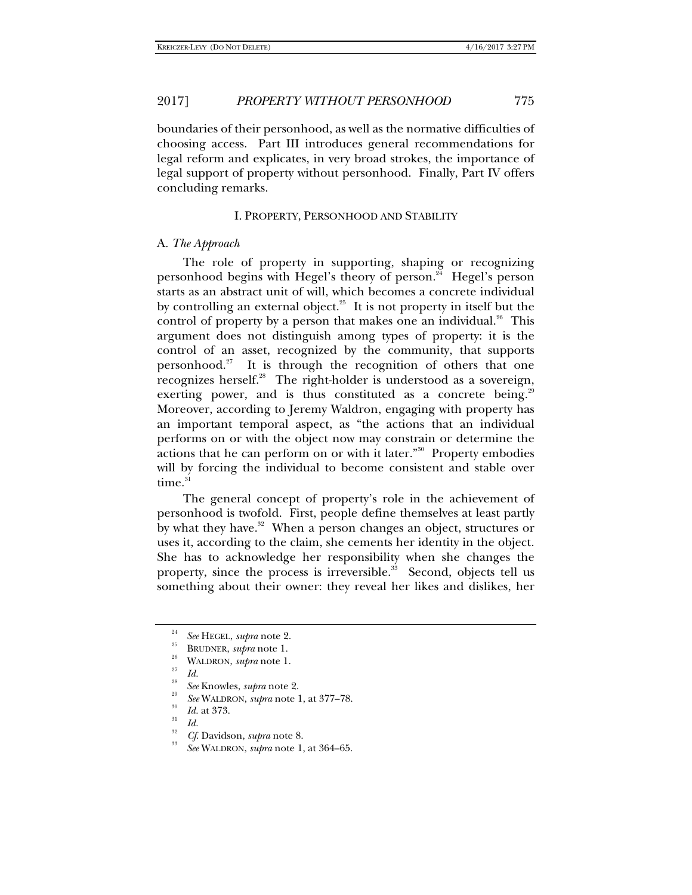boundaries of their personhood, as well as the normative difficulties of choosing access. Part III introduces general recommendations for legal reform and explicates, in very broad strokes, the importance of legal support of property without personhood. Finally, Part IV offers concluding remarks.

## I. PROPERTY, PERSONHOOD AND STABILITY

### A. *The Approach*

The role of property in supporting, shaping or recognizing personhood begins with Hegel's theory of person.<sup>24</sup> Hegel's person starts as an abstract unit of will, which becomes a concrete individual by controlling an external object. $25$  It is not property in itself but the control of property by a person that makes one an individual. $26$  This argument does not distinguish among types of property: it is the control of an asset, recognized by the community, that supports personhood.<sup>27</sup> It is through the recognition of others that one recognizes herself.<sup>28</sup> The right-holder is understood as a sovereign, exerting power, and is thus constituted as a concrete being.<sup>29</sup> Moreover, according to Jeremy Waldron, engaging with property has an important temporal aspect, as "the actions that an individual performs on or with the object now may constrain or determine the actions that he can perform on or with it later."30 Property embodies will by forcing the individual to become consistent and stable over time.<sup>31</sup>

The general concept of property's role in the achievement of personhood is twofold. First, people define themselves at least partly by what they have.<sup>32</sup> When a person changes an object, structures or uses it, according to the claim, she cements her identity in the object. She has to acknowledge her responsibility when she changes the property, since the process is irreversible.<sup>33</sup> Second, objects tell us something about their owner: they reveal her likes and dislikes, her

<sup>24</sup>*See* HEGEL, *supra* note 2. 25 BRUDNER, *supra* note 1. 26

*Id.* See Knowles, *supra* note 2.

<sup>&</sup>lt;sup>29</sup> *See* WALDRON, *supra* note 1, at 377–78.<br><sup>30</sup> *Id.* at 373.<br>*Id.* 

*Id.* <sup>32</sup> *Cf*. Davidson, *supra* note 8. 33

*See* WALDRON, *supra* note 1, at 364–65.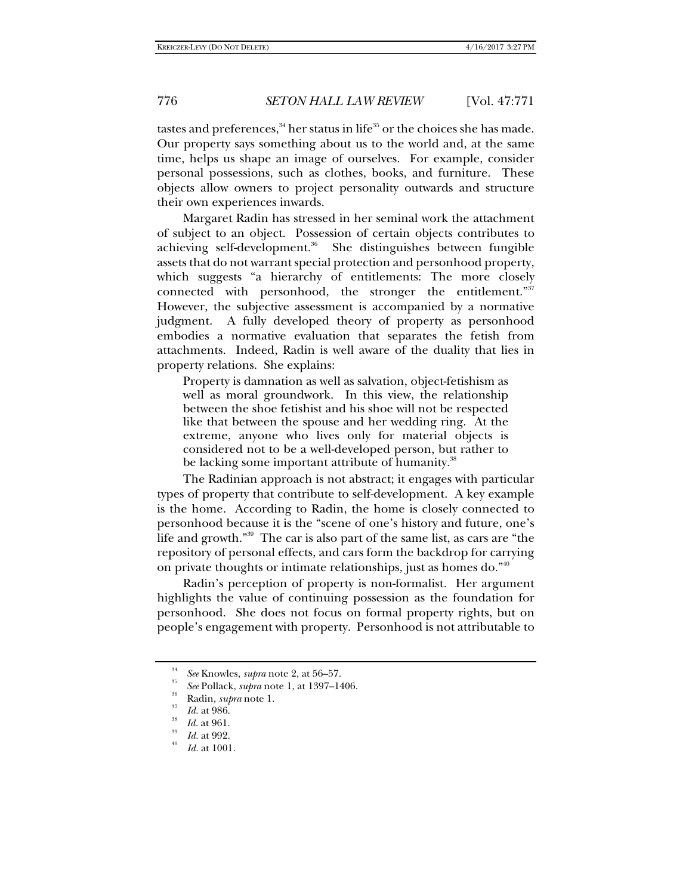tastes and preferences,  $34$  her status in life<sup>35</sup> or the choices she has made. Our property says something about us to the world and, at the same time, helps us shape an image of ourselves. For example, consider personal possessions, such as clothes, books, and furniture. These objects allow owners to project personality outwards and structure their own experiences inwards.

Margaret Radin has stressed in her seminal work the attachment of subject to an object. Possession of certain objects contributes to achieving self-development.<sup>36</sup> She distinguishes between fungible assets that do not warrant special protection and personhood property, which suggests "a hierarchy of entitlements: The more closely connected with personhood, the stronger the entitlement."<sup>37</sup> However, the subjective assessment is accompanied by a normative judgment. A fully developed theory of property as personhood embodies a normative evaluation that separates the fetish from attachments. Indeed, Radin is well aware of the duality that lies in property relations. She explains:

Property is damnation as well as salvation, object-fetishism as well as moral groundwork. In this view, the relationship between the shoe fetishist and his shoe will not be respected like that between the spouse and her wedding ring. At the extreme, anyone who lives only for material objects is considered not to be a well-developed person, but rather to be lacking some important attribute of humanity.<sup>38</sup>

The Radinian approach is not abstract; it engages with particular types of property that contribute to self-development. A key example is the home. According to Radin, the home is closely connected to personhood because it is the "scene of one's history and future, one's life and growth."39 The car is also part of the same list, as cars are "the repository of personal effects, and cars form the backdrop for carrying on private thoughts or intimate relationships, just as homes do."40

Radin's perception of property is non-formalist. Her argument highlights the value of continuing possession as the foundation for personhood. She does not focus on formal property rights, but on people's engagement with property. Personhood is not attributable to

<sup>34</sup>*See* Knowles, *supra* note 2, at 56–57. 35 *See* Pollack, *supra* note 1, at 1397–1406. <sup>36</sup>

Radin, *supra* note 1.<br>*Id.* at 986.<br>*Id.* at 961.

*Id.* at 992.

*Id.* at 1001.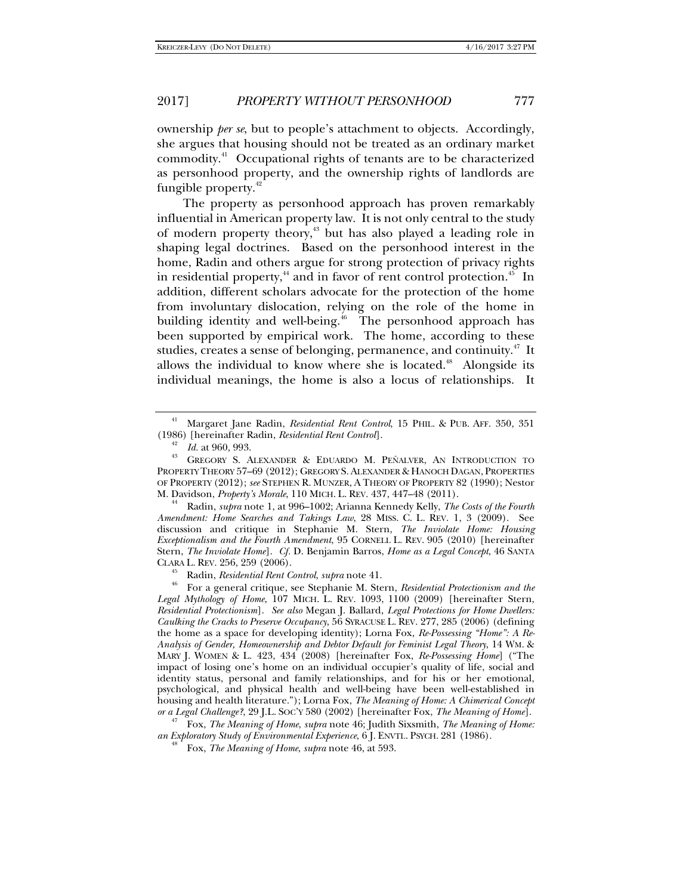fungible property.<sup>42</sup>

# 2017] *PROPERTY WITHOUT PERSONHOOD* 777

ownership *per se*, but to people's attachment to objects. Accordingly, she argues that housing should not be treated as an ordinary market commodity.41 Occupational rights of tenants are to be characterized as personhood property, and the ownership rights of landlords are

The property as personhood approach has proven remarkably influential in American property law. It is not only central to the study of modern property theory,<sup>43</sup> but has also played a leading role in shaping legal doctrines. Based on the personhood interest in the home, Radin and others argue for strong protection of privacy rights in residential property, $44$  and in favor of rent control protection. $45$  In addition, different scholars advocate for the protection of the home from involuntary dislocation, relying on the role of the home in building identity and well-being.<sup>46</sup> The personhood approach has been supported by empirical work. The home, according to these studies, creates a sense of belonging, permanence, and continuity.<sup>47</sup> It allows the individual to know where she is located.<sup>48</sup> Alongside its individual meanings, the home is also a locus of relationships. It

 Radin, *supra* note 1, at 996–1002; Arianna Kennedy Kelly, *The Costs of the Fourth Amendment: Home Searches and Takings Law*, 28 MISS. C. L. REV. 1, 3 (2009). See discussion and critique in Stephanie M. Stern, *The Inviolate Home: Housing Exceptionalism and the Fourth Amendment*, 95 CORNELL L. REV. 905 (2010) [hereinafter Stern, *The Inviolate Home*]. *Cf.* D. Benjamin Barros, *Home as a Legal Concept*, 46 SANTA

CLARA L. REV. 256, 259 (2006). 45 Radin, *Residential Rent Control*, *supra* note 41. 46

 For a general critique, see Stephanie M. Stern, *Residential Protectionism and the Legal Mythology of Home*, 107 MICH. L. REV. 1093, 1100 (2009) [hereinafter Stern, *Residential Protectionism*]. *See also* Megan J. Ballard, *Legal Protections for Home Dwellers: Caulking the Cracks to Preserve Occupancy*, 56 SYRACUSE L. REV. 277, 285 (2006) (defining the home as a space for developing identity); Lorna Fox, *Re-Possessing "Home": A Re-Analysis of Gender, Homeownership and Debtor Default for Feminist Legal Theory*, 14 WM. & MARY J. WOMEN & L. 423, 434 (2008) [hereinafter Fox, *Re-Possessing Home*] ("The impact of losing one's home on an individual occupier's quality of life, social and identity status, personal and family relationships, and for his or her emotional, psychological, and physical health and well-being have been well-established in housing and health literature."); Lorna Fox, *The Meaning of Home: A Chimerical Concept* 

*or a Legal Challenge?*, 29 J.L. SOC'Y 580 (2002) [hereinafter Fox, *The Meaning of Home*]. 47 Fox, *The Meaning of Home*, *supra* note 46; Judith Sixsmith, *The Meaning of Home: an Exploratory Study of Environmental Experience*, 6 J. ENVTL. PSYCH. 281 (1986).

Fox, *The Meaning of Home*, *supra* note 46, at 593.

<sup>&</sup>lt;sup>41</sup> Margaret Jane Radin, *Residential Rent Control*, 15 PHIL. & PUB. AFF. 350, 351 (1986) [hereinafter Radin, *Residential Rent Control*]. 42 *Id.* at 960, 993. <sup>43</sup>

GREGORY S. ALEXANDER & EDUARDO M. PEÑALVER, AN INTRODUCTION TO PROPERTY THEORY 57–69 (2012); GREGORY S. ALEXANDER & HANOCH DAGAN, PROPERTIES OF PROPERTY (2012); *see* STEPHEN R. MUNZER, A THEORY OF PROPERTY 82 (1990); Nestor M. Davidson, *Property's Morale*, 110 MICH. L. REV. 437, 447–48 (2011). <sup>44</sup>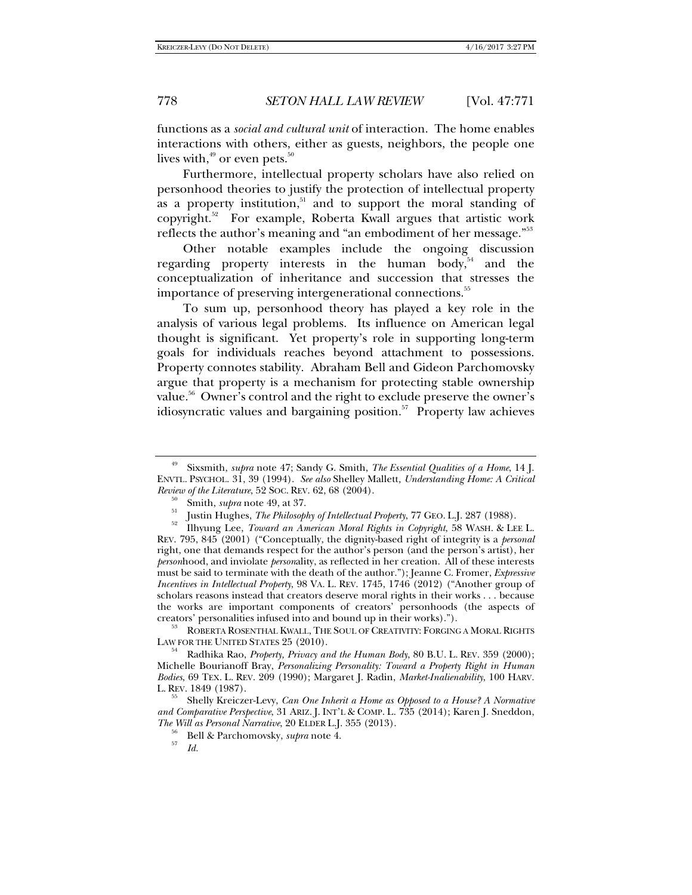functions as a *social and cultural unit* of interaction. The home enables interactions with others, either as guests, neighbors, the people one lives with, $49$  or even pets. $50$ 

Furthermore, intellectual property scholars have also relied on personhood theories to justify the protection of intellectual property as a property institution, $51$  and to support the moral standing of copyright.52 For example, Roberta Kwall argues that artistic work reflects the author's meaning and "an embodiment of her message."53

Other notable examples include the ongoing discussion regarding property interests in the human body,<sup>54</sup> and the conceptualization of inheritance and succession that stresses the importance of preserving intergenerational connections.<sup>55</sup>

To sum up, personhood theory has played a key role in the analysis of various legal problems. Its influence on American legal thought is significant. Yet property's role in supporting long-term goals for individuals reaches beyond attachment to possessions. Property connotes stability. Abraham Bell and Gideon Parchomovsky argue that property is a mechanism for protecting stable ownership value.<sup>56</sup> Owner's control and the right to exclude preserve the owner's idiosyncratic values and bargaining position. $57$  Property law achieves

 ROBERTA ROSENTHAL KWALL, THE SOUL OF CREATIVITY: FORGING A MORAL RIGHTS LAW FOR THE UNITED STATES 25 (2010).

<sup>49</sup> Sixsmith, *supra* note 47; Sandy G. Smith, *The Essential Qualities of a Home*, 14 J. ENVTL. PSYCHOL. 31, 39 (1994). *See also* Shelley Mallett*, Understanding Home: A Critical Review of the Literature*, 52 SOC. REV. 62, 68 (2004).<br><sup>50</sup> Smith, *supra* note 49, at 37.

Smith, *supra* note 49, at 37. 51 Justin Hughes, *The Philosophy of Intellectual Property*, 77 GEO. L.J. 287 (1988). 52 Ilhyung Lee, *Toward an American Moral Rights in Copyright*, 58 WASH. & LEE L.

REV. 795, 845 (2001) ("Conceptually, the dignity-based right of integrity is a *personal* right, one that demands respect for the author's person (and the person's artist), her *person*hood, and inviolate *person*ality, as reflected in her creation. All of these interests must be said to terminate with the death of the author."); Jeanne C. Fromer, *Expressive Incentives in Intellectual Property*, 98 VA. L. REV. 1745, 1746 (2012) ("Another group of scholars reasons instead that creators deserve moral rights in their works . . . because the works are important components of creators' personhoods (the aspects of creators' personalities infused into and bound up in their works).").

Radhika Rao, *Property, Privacy and the Human Body*, 80 B.U. L. REV. 359 (2000); Michelle Bourianoff Bray, *Personalizing Personality: Toward a Property Right in Human Bodies*, 69 TEX. L. REV. 209 (1990); Margaret J. Radin, *Market-Inalienability*, 100 HARV.

Shelly Kreiczer-Levy, *Can One Inherit a Home as Opposed to a House? A Normative and Comparative Perspective*, 31 ARIZ. J. INT'L & COMP. L. 735 (2014); Karen J. Sneddon,

<sup>&</sup>lt;sup>56</sup> Bell & Parchomovsky, *supra* note 4.

*Id.*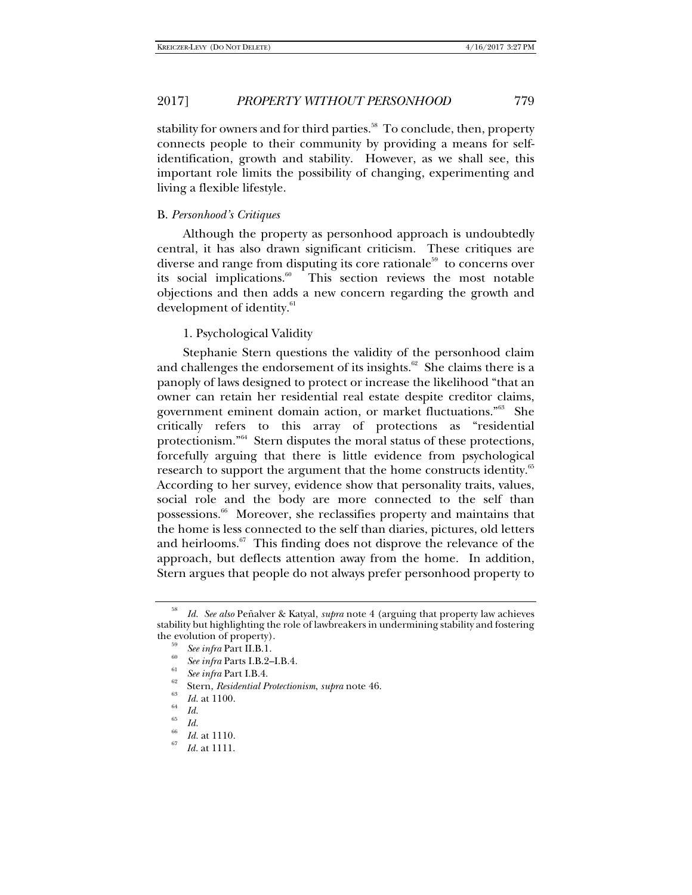stability for owners and for third parties.<sup>58</sup> To conclude, then, property connects people to their community by providing a means for selfidentification, growth and stability. However, as we shall see, this important role limits the possibility of changing, experimenting and living a flexible lifestyle.

## B. *Personhood's Critiques*

Although the property as personhood approach is undoubtedly central, it has also drawn significant criticism. These critiques are diverse and range from disputing its core rationale<sup>59</sup> to concerns over its social implications. $60$  This section reviews the most notable objections and then adds a new concern regarding the growth and development of identity.<sup>61</sup>

## 1. Psychological Validity

Stephanie Stern questions the validity of the personhood claim and challenges the endorsement of its insights.<sup>62</sup> She claims there is a panoply of laws designed to protect or increase the likelihood "that an owner can retain her residential real estate despite creditor claims, government eminent domain action, or market fluctuations."63 She critically refers to this array of protections as "residential protectionism."64 Stern disputes the moral status of these protections, forcefully arguing that there is little evidence from psychological research to support the argument that the home constructs identity.<sup>65</sup> According to her survey, evidence show that personality traits, values, social role and the body are more connected to the self than possessions.<sup>66</sup> Moreover, she reclassifies property and maintains that the home is less connected to the self than diaries, pictures, old letters and heirlooms. $67$  This finding does not disprove the relevance of the approach, but deflects attention away from the home. In addition, Stern argues that people do not always prefer personhood property to

<sup>58</sup> *Id. See also* Peñalver & Katyal, *supra* note 4 (arguing that property law achieves stability but highlighting the role of lawbreakers in undermining stability and fostering the evolution of property).<br><sup>59</sup> *See infra* Part II.B.1.<br><sup>60</sup> *See infra* Parts I.B.2–I.B.4.

*See infra* Part I.B.4.<br>Stern, *Residential Protectionism*, *supra* note 46.

 $\begin{array}{cc}\n\frac{63}{64} & Id. \text{ at } 1100. \\
\frac{64}{65} & Id. \n\end{array}$ 

<sup>&</sup>lt;sup>66</sup> *Id.* at 1110.

*Id.* at 1111.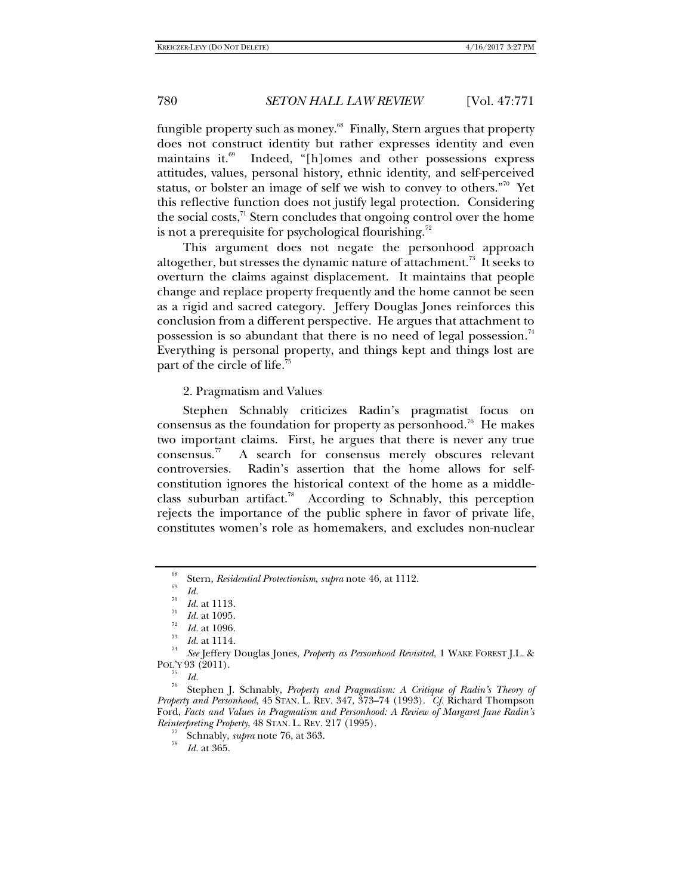fungible property such as money.<sup>68</sup> Finally, Stern argues that property does not construct identity but rather expresses identity and even maintains it. $69$  Indeed, "[h]omes and other possessions express attitudes, values, personal history, ethnic identity, and self-perceived status, or bolster an image of self we wish to convey to others."70 Yet this reflective function does not justify legal protection. Considering the social costs, $\frac{1}{1}$  Stern concludes that ongoing control over the home is not a prerequisite for psychological flourishing.<sup>72</sup>

This argument does not negate the personhood approach altogether, but stresses the dynamic nature of attachment.<sup>73</sup> It seeks to overturn the claims against displacement. It maintains that people change and replace property frequently and the home cannot be seen as a rigid and sacred category. Jeffery Douglas Jones reinforces this conclusion from a different perspective. He argues that attachment to possession is so abundant that there is no need of legal possession.<sup>74</sup> Everything is personal property, and things kept and things lost are part of the circle of life.<sup>75</sup>

2. Pragmatism and Values

Stephen Schnably criticizes Radin's pragmatist focus on consensus as the foundation for property as personhood.<sup>76</sup> He makes two important claims. First, he argues that there is never any true consensus.77 A search for consensus merely obscures relevant controversies. Radin's assertion that the home allows for selfconstitution ignores the historical context of the home as a middleclass suburban artifact.<sup>78</sup> According to Schnably, this perception rejects the importance of the public sphere in favor of private life, constitutes women's role as homemakers, and excludes non-nuclear

<sup>68</sup> <sup>68</sup> Stern, *Residential Protectionism*, *supra* note 46, at 1112.<br><sup>69</sup> Id.

<sup>&</sup>lt;sup>70</sup> *Id.* at 1113.<br>
<sup>71</sup> *Id.* at 1095.<br>
<sup>73</sup> *Id.* at 1096.<br> *Id.* at 1114.

 $^{74}$  *See* Jeffery Douglas Jones, *Property as Personhood Revisited*, 1 WAKE FOREST J.L. & POL'Y 93 (2011).

<sup>&</sup>lt;sup>13</sup> Id.<br><sup>76</sup> Stephen J. Schnably, *Property and Pragmatism: A Critique of Radin's Theory of Property and Personhood*, 45 STAN. L. REV. 347, 373–74 (1993). *Cf.* Richard Thompson Ford, *Facts and Values in Pragmatism and Personhood: A Review of Margaret Jane Radin's Reinterpreting Property*, 48 STAN. L. REV. 217 (1995).<br><sup>77</sup> Schnably, *supra* note 76, at 363.

*Id.* at 365.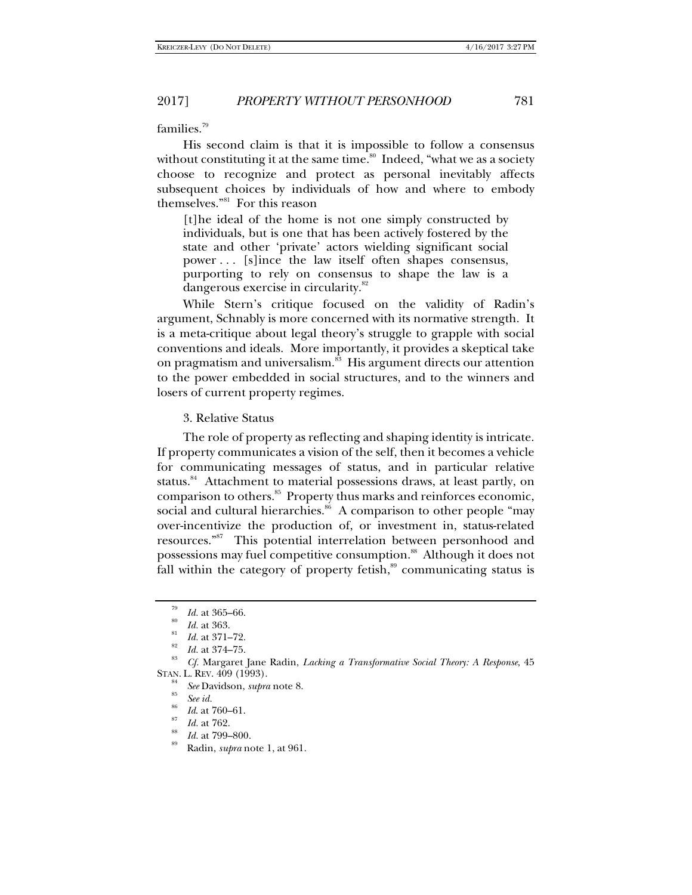families.79

His second claim is that it is impossible to follow a consensus without constituting it at the same time. $80^\circ$  Indeed, "what we as a society choose to recognize and protect as personal inevitably affects subsequent choices by individuals of how and where to embody themselves."81 For this reason

[t]he ideal of the home is not one simply constructed by individuals, but is one that has been actively fostered by the state and other 'private' actors wielding significant social power . . . [s]ince the law itself often shapes consensus, purporting to rely on consensus to shape the law is a dangerous exercise in circularity.<sup>82</sup>

While Stern's critique focused on the validity of Radin's argument, Schnably is more concerned with its normative strength. It is a meta-critique about legal theory's struggle to grapple with social conventions and ideals. More importantly, it provides a skeptical take on pragmatism and universalism.<sup>83</sup> His argument directs our attention to the power embedded in social structures, and to the winners and losers of current property regimes.

3. Relative Status

The role of property as reflecting and shaping identity is intricate. If property communicates a vision of the self, then it becomes a vehicle for communicating messages of status, and in particular relative status.<sup>84</sup> Attachment to material possessions draws, at least partly, on comparison to others.85 Property thus marks and reinforces economic, social and cultural hierarchies.<sup>86</sup> A comparison to other people "may over-incentivize the production of, or investment in, status-related resources."87 This potential interrelation between personhood and possessions may fuel competitive consumption.<sup>88</sup> Although it does not fall within the category of property fetish, $\frac{89}{2}$  communicating status is

 $\frac{79}{80}$  *Id.* at 365–66.

*Id.* at 363.<br>*Id.* at 371–72.

<sup>&</sup>lt;sup>82</sup> *Id.* at 374–75.<br><sup>83</sup> *Cf.* Margaret Jane Radin, *Lacking a Transformative Social Theory: A Response*, 45 STAN. L. REV. 409 (1993).<br><sup>84</sup> *See* Davidson, *supra* note 8.<br><sup>85</sup> *See id.* 

*Id.* at 760–61.<br>*Id.* at 762.

*Id.* at 799–800.

Radin, *supra* note 1, at 961.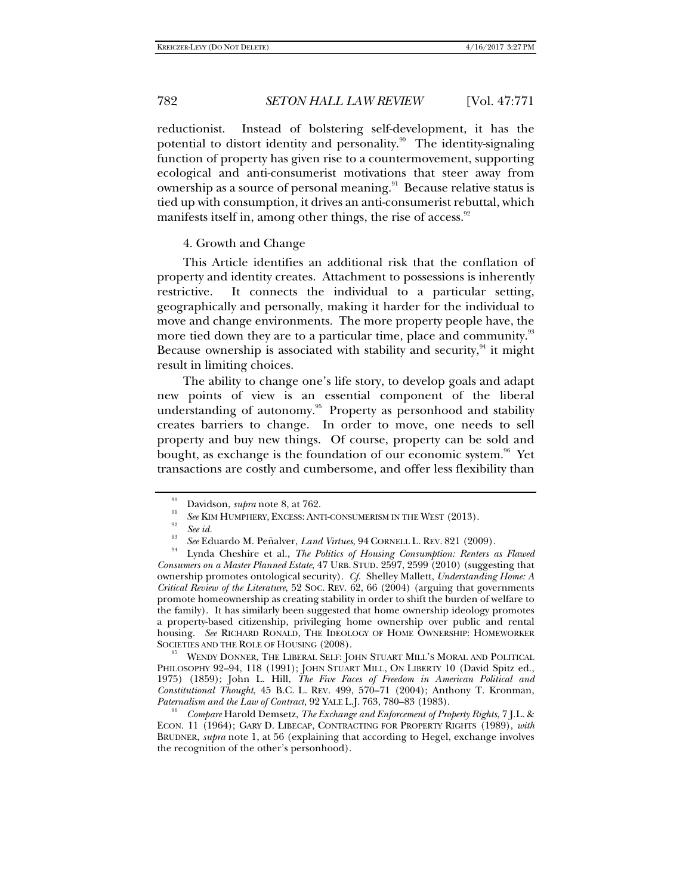reductionist. Instead of bolstering self-development, it has the potential to distort identity and personality.<sup>90</sup> The identity-signaling function of property has given rise to a countermovement, supporting ecological and anti-consumerist motivations that steer away from ownership as a source of personal meaning.<sup>91</sup> Because relative status is tied up with consumption, it drives an anti-consumerist rebuttal, which manifests itself in, among other things, the rise of access. $92$ 

### 4. Growth and Change

This Article identifies an additional risk that the conflation of property and identity creates. Attachment to possessions is inherently restrictive. It connects the individual to a particular setting, geographically and personally, making it harder for the individual to move and change environments. The more property people have, the more tied down they are to a particular time, place and community.<sup>93</sup> Because ownership is associated with stability and security,  $94$  it might result in limiting choices.

The ability to change one's life story, to develop goals and adapt new points of view is an essential component of the liberal understanding of autonomy.<sup>95</sup> Property as personhood and stability creates barriers to change. In order to move, one needs to sell property and buy new things. Of course, property can be sold and bought, as exchange is the foundation of our economic system.<sup>96</sup> Yet transactions are costly and cumbersome, and offer less flexibility than

<sup>35</sup> WENDY DONNER, THE LIBERAL SELF: JOHN STUART MILL'S MORAL AND POLITICAL PHILOSOPHY 92-94, 118 (1991); JOHN STUART MILL, ON LIBERTY 10 (David Spitz ed., 1975) (1859); John L. Hill, *The Five Faces of Freedom in American Political and Constitutional Thought*, 45 B.C. L. REV. 499, 570–71 (2004); Anthony T. Kronman, *Paternalism and the Law of Contract*, 92 YALE L.J. 763, 780–83 (1983).

*Compare* Harold Demsetz, *The Exchange and Enforcement of Property Rights*, 7 J.L. & ECON. 11 (1964); GARY D. LIBECAP, CONTRACTING FOR PROPERTY RIGHTS (1989), *with*  BRUDNER, *supra* note 1, at 56 (explaining that according to Hegel, exchange involves the recognition of the other's personhood).

<sup>90</sup>

Davidson, *supra* note 8, at 762.<br>
<sup>91</sup> See KIM HUMPHERY, EXCESS: ANTI-CONSUMERISM IN THE WEST (2013).<br>
<sup>92</sup> See id.<br>
<sup>93</sup> See Eduardo M. Peñalver, *Land Virtues*, 94 CORNELL L. REV. 821 (2009).<br>
<sup>94</sup> Lynda Cheshire et al *Consumers on a Master Planned Estate*, 47 URB. STUD. 2597, 2599 (2010) (suggesting that ownership promotes ontological security). *Cf.* Shelley Mallett, *Understanding Home: A Critical Review of the Literature*, 52 SOC. REV. 62, 66 (2004) (arguing that governments promote homeownership as creating stability in order to shift the burden of welfare to the family). It has similarly been suggested that home ownership ideology promotes a property-based citizenship, privileging home ownership over public and rental housing. *See* RICHARD RONALD, THE IDEOLOGY OF HOME OWNERSHIP: HOMEWORKER SOCIETIES AND THE ROLE OF HOUSING (2008).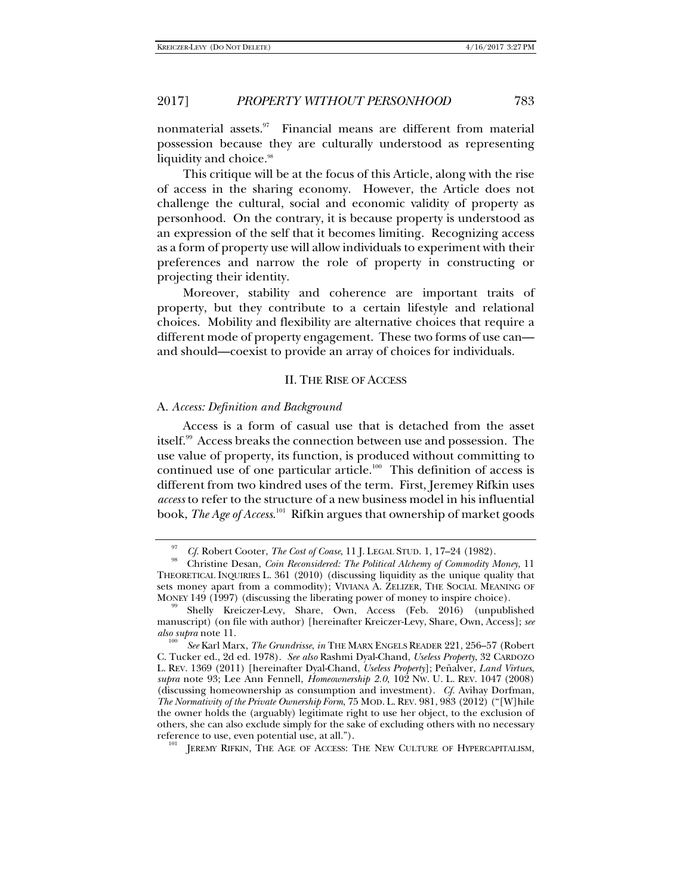nonmaterial assets.<sup>97</sup> Financial means are different from material possession because they are culturally understood as representing liquidity and choice.<sup>98</sup>

This critique will be at the focus of this Article, along with the rise of access in the sharing economy. However, the Article does not challenge the cultural, social and economic validity of property as personhood. On the contrary, it is because property is understood as an expression of the self that it becomes limiting. Recognizing access as a form of property use will allow individuals to experiment with their preferences and narrow the role of property in constructing or projecting their identity.

Moreover, stability and coherence are important traits of property, but they contribute to a certain lifestyle and relational choices. Mobility and flexibility are alternative choices that require a different mode of property engagement. These two forms of use can and should—coexist to provide an array of choices for individuals.

# II. THE RISE OF ACCESS

### A. *Access: Definition and Background*

Access is a form of casual use that is detached from the asset itself.<sup>99</sup> Access breaks the connection between use and possession. The use value of property, its function, is produced without committing to continued use of one particular article.<sup>100</sup> This definition of access is different from two kindred uses of the term. First, Jeremey Rifkin uses *access* to refer to the structure of a new business model in his influential book, *The Age of Access*. 101 Rifkin argues that ownership of market goods

<sup>97</sup> *Cf.* Robert Cooter, *The Cost of Coase*, 11 J. LEGAL STUD. 1, 17-24 (1982).

Christine Desan, *Coin Reconsidered: The Political Alchemy of Commodity Money*, 11 THEORETICAL INQUIRIES L. 361 (2010) (discussing liquidity as the unique quality that sets money apart from a commodity); VIVIANA A. ZELIZER, THE SOCIAL MEANING OF MONEY 149 (1997) (discussing the liberating power of money to inspire choice).

Shelly Kreiczer-Levy, Share, Own, Access (Feb. 2016) (unpublished manuscript) (on file with author) [hereinafter Kreiczer-Levy, Share, Own, Access]; *see also supra* note 11.

*See* Karl Marx, *The Grundrisse*, *in* THE MARX ENGELS READER 221, 256–57 (Robert C. Tucker ed., 2d ed. 1978). *See also* Rashmi Dyal-Chand, *Useless Property*, 32 CARDOZO L. REV. 1369 (2011) [hereinafter Dyal-Chand, *Useless Property*]; Peñalver, *Land Virtues*, *supra* note 93; Lee Ann Fennell, *Homeownership 2.0*, 102 NW. U. L. REV. 1047 (2008) (discussing homeownership as consumption and investment). *Cf.* Avihay Dorfman, *The Normativity of the Private Ownership Form*, 75 MOD. L. REV. 981, 983 (2012) ("[W]hile the owner holds the (arguably) legitimate right to use her object, to the exclusion of others, she can also exclude simply for the sake of excluding others with no necessary reference to use, even potential use, at all.").

JEREMY RIFKIN, THE AGE OF ACCESS: THE NEW CULTURE OF HYPERCAPITALISM,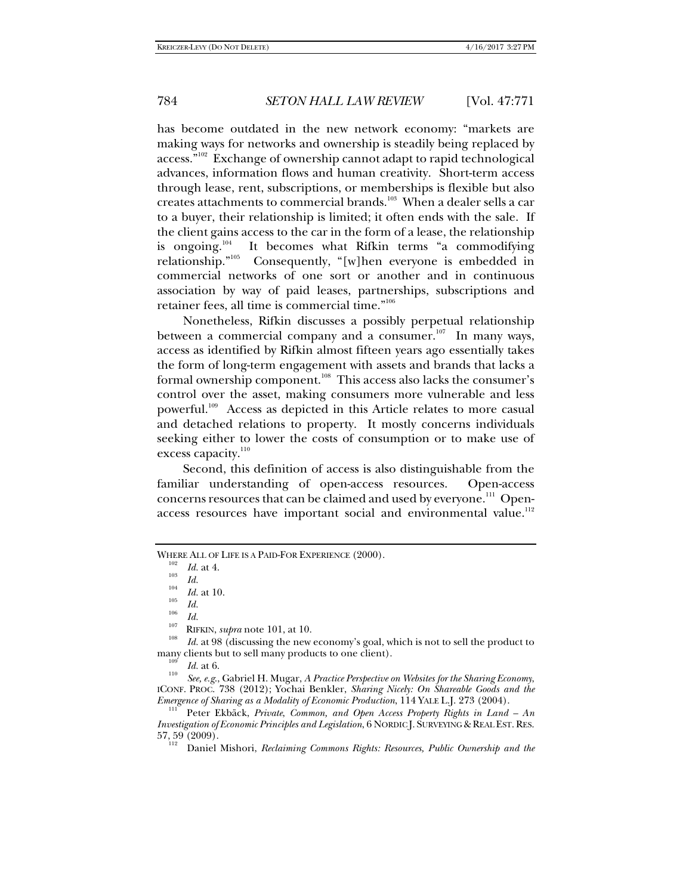has become outdated in the new network economy: "markets are making ways for networks and ownership is steadily being replaced by access."102 Exchange of ownership cannot adapt to rapid technological advances, information flows and human creativity. Short-term access through lease, rent, subscriptions, or memberships is flexible but also creates attachments to commercial brands.<sup>103</sup> When a dealer sells a car to a buyer, their relationship is limited; it often ends with the sale. If the client gains access to the car in the form of a lease, the relationship is ongoing.<sup>104</sup> It becomes what Rifkin terms "a commodifying relationship."<sup>105</sup> Consequently, "[w]hen everyone is embedded in Consequently, "[w]hen everyone is embedded in commercial networks of one sort or another and in continuous association by way of paid leases, partnerships, subscriptions and retainer fees, all time is commercial time."106

Nonetheless, Rifkin discusses a possibly perpetual relationship between a commercial company and a consumer. $107$  In many ways, access as identified by Rifkin almost fifteen years ago essentially takes the form of long-term engagement with assets and brands that lacks a formal ownership component.<sup>108</sup> This access also lacks the consumer's control over the asset, making consumers more vulnerable and less powerful.<sup>109</sup> Access as depicted in this Article relates to more casual and detached relations to property. It mostly concerns individuals seeking either to lower the costs of consumption or to make use of excess capacity.<sup>110</sup>

Second, this definition of access is also distinguishable from the familiar understanding of open-access resources. Open-access concerns resources that can be claimed and used by everyone.<sup>111</sup> Openaccess resources have important social and environmental value.<sup>112</sup>

 *See, e.g*., Gabriel H. Mugar, *A Practice Perspective on Websites for the Sharing Economy*, ICONF. PROC. 738 (2012); Yochai Benkler, *Sharing Nicely: On Shareable Goods and the Emergence of Sharing as a Modality of Economic Production*, 114 YALE L.J. 273 (2004).<br><sup>111</sup> Peter Ekbäck, *Private*, *Common, and Open Access Property Rights in Land – An* 

*Investigation of Economic Principles and Legislation*, 6 NORDIC J. SURVEYING & REAL EST.RES.  $57,59$  (2009).

Daniel Mishori, *Reclaiming Commons Rights: Resources, Public Ownership and the* 

WHERE ALL OF LIFE IS A PAID-FOR EXPERIENCE (2000).

 $\frac{102}{103}$  *Id.* at 4.<br>  $\frac{104}{104}$  *Id.* 

<sup>&</sup>lt;sup>104</sup> *Id.* at 10.<br><sup>105</sup> *Id.*<br><sup>106</sup> *Id.* 

<sup>&</sup>lt;sup>107</sup> RIFKIN, *supra* note 101, at 10.<br><sup>108</sup> *Id.* at 98 (discussing the new economy's goal, which is not to sell the product to many clients but to sell many products to one client).

 $\frac{109}{110}$  *Id.* at 6.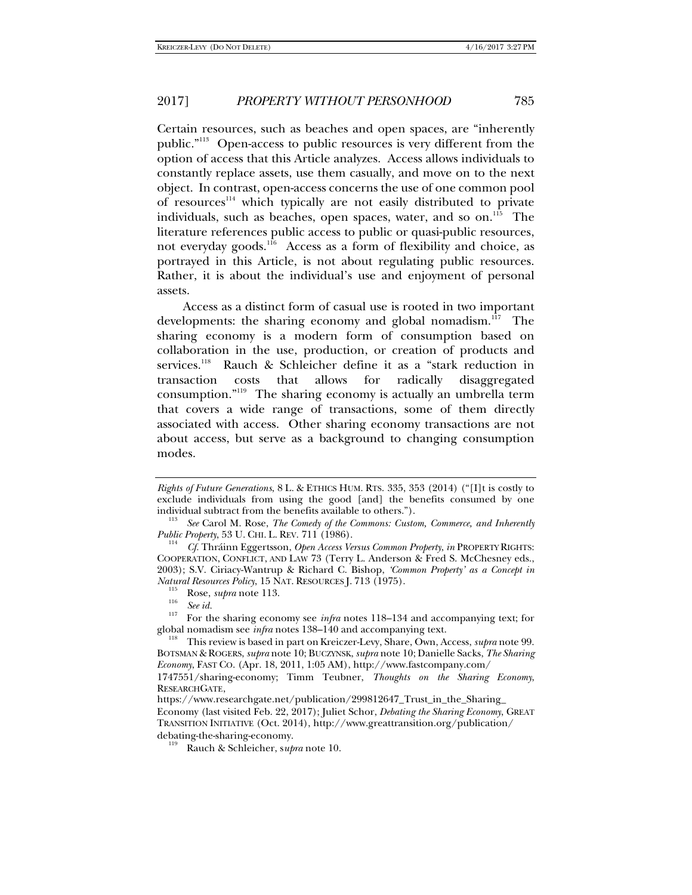Certain resources, such as beaches and open spaces, are "inherently public."113 Open-access to public resources is very different from the option of access that this Article analyzes. Access allows individuals to constantly replace assets, use them casually, and move on to the next object. In contrast, open-access concerns the use of one common pool of resources<sup>114</sup> which typically are not easily distributed to private individuals, such as beaches, open spaces, water, and so on.<sup>115</sup> The literature references public access to public or quasi-public resources, not everyday goods.116 Access as a form of flexibility and choice, as portrayed in this Article, is not about regulating public resources. Rather, it is about the individual's use and enjoyment of personal assets.

Access as a distinct form of casual use is rooted in two important developments: the sharing economy and global nomadism.<sup>117</sup> The sharing economy is a modern form of consumption based on collaboration in the use, production, or creation of products and services.<sup>118</sup> Rauch & Schleicher define it as a "stark reduction in transaction costs that allows for radically disaggregated consumption."119 The sharing economy is actually an umbrella term that covers a wide range of transactions, some of them directly associated with access. Other sharing economy transactions are not about access, but serve as a background to changing consumption modes.

*Rights of Future Generations*, 8 L. & ETHICS HUM. RTS. 335, 353 (2014) ("[I]t is costly to exclude individuals from using the good [and] the benefits consumed by one individual subtract from the benefits available to others.").

*See* Carol M. Rose, *The Comedy of the Commons: Custom, Commerce, and Inherently* 

*Public Property*, 53 U. CHI. L. REV. 711 (1986). 114 *Cf.* Thráinn Eggertsson, *Open Access Versus Common Property*, *in* PROPERTY RIGHTS: COOPERATION, CONFLICT, AND LAW 73 (Terry L. Anderson & Fred S. McChesney eds., 2003); S.V. Ciriacy-Wantrup & Richard C. Bishop, *'Common Property' as a Concept in* 

*Natural Resources Policy*, 15 NAT. RESOURCES J. 713 (1975).<br><sup>115</sup> Rose, *supra* note 113.<br><sup>116</sup> *See id.* <sup>117</sup> For the sharing economy see *infra* notes 118–134 and accompanying text; for global nomadism see *infra* note

This review is based in part on Kreiczer-Levy, Share, Own, Access, *supra* note 99. BOTSMAN & ROGERS, *supra* note 10; BUCZYNSK, *supra* note 10; Danielle Sacks, *The Sharing Economy*, FAST CO. (Apr. 18, 2011, 1:05 AM), http://www.fastcompany.com/

<sup>1747551/</sup>sharing-economy; Timm Teubner, *Thoughts on the Sharing Economy*, RESEARCHGATE,

https://www.researchgate.net/publication/299812647\_Trust\_in\_the\_Sharing\_

Economy (last visited Feb. 22, 2017); Juliet Schor, *Debating the Sharing Economy*, GREAT TRANSITION INITIATIVE (Oct. 2014), http://www.greattransition.org/publication/

debating-the-sharing-economy. 119 Rauch & Schleicher, s*upra* note 10.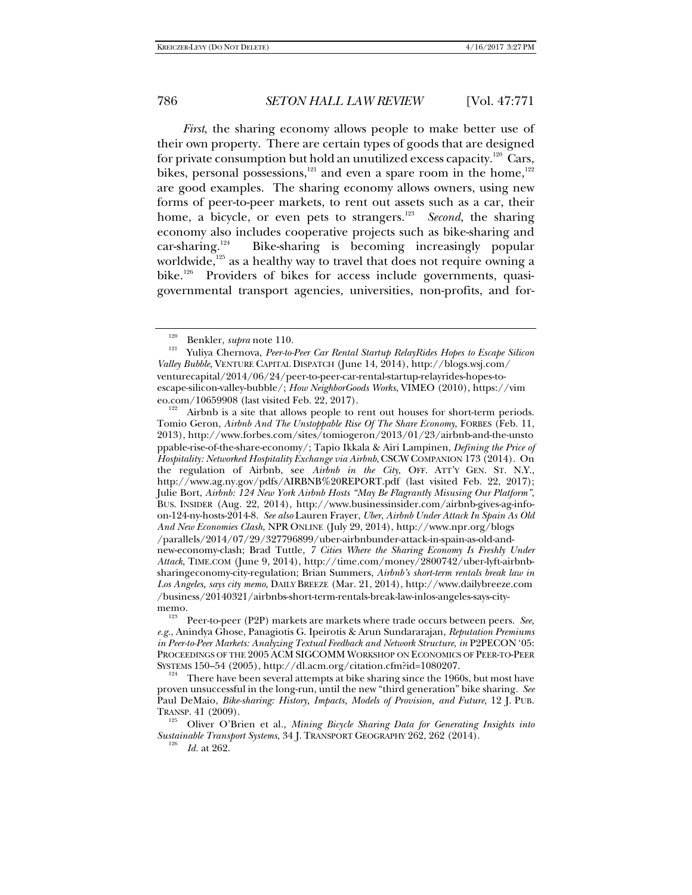*First*, the sharing economy allows people to make better use of their own property. There are certain types of goods that are designed for private consumption but hold an unutilized excess capacity.<sup>120</sup> Cars, bikes, personal possessions,<sup>121</sup> and even a spare room in the home,<sup>122</sup> are good examples. The sharing economy allows owners, using new forms of peer-to-peer markets, to rent out assets such as a car, their home, a bicycle, or even pets to strangers.<sup>123</sup> *Second*, the sharing economy also includes cooperative projects such as bike-sharing and  $car-sharing.<sup>124</sup>$  Bike-sharing is becoming increasingly popular worldwide, $125$  as a healthy way to travel that does not require owning a bike.<sup>126</sup> Providers of bikes for access include governments, quasigovernmental transport agencies, universities, non-profits, and for-

 Airbnb is a site that allows people to rent out houses for short-term periods. Tomio Geron, *Airbnb And The Unstoppable Rise Of The Share Economy*, FORBES (Feb. 11, 2013), http://www.forbes.com/sites/tomiogeron/2013/01/23/airbnb-and-the-unsto ppable-rise-of-the-share-economy/; Tapio Ikkala & Airi Lampinen, *Defining the Price of Hospitality: Networked Hospitality Exchange via Airbnb*, CSCW COMPANION 173 (2014). On the regulation of Airbnb, see *Airbnb in the City*, OFF. ATT'Y GEN. ST. N.Y., http://www.ag.ny.gov/pdfs/AIRBNB%20REPORT.pdf (last visited Feb. 22, 2017); Julie Bort, *Airbnb: 124 New York Airbnb Hosts "May Be Flagrantly Misusing Our Platform"*, BUS. INSIDER (Aug. 22, 2014), http://www.businessinsider.com/airbnb-gives-ag-infoon-124-ny-hosts-2014-8. *See also* Lauren Frayer, *Uber*, *Airbnb Under Attack In Spain As Old And New Economies Clash*, NPR ONLINE (July 29, 2014), http://www.npr.org/blogs /parallels/2014/07/29/327796899/uber-airbnbunder-attack-in-spain-as-old-andnew-economy-clash; Brad Tuttle, *7 Cities Where the Sharing Economy Is Freshly Under Attack*, TIME.COM (June 9, 2014), http://time.com/money/2800742/uber-lyft-airbnbsharingeconomy-city-regulation; Brian Summers, *Airbnb's short-term rentals break law in Los Angeles, says city memo*, DAILY BREEZE (Mar. 21, 2014), http://www.dailybreeze.com /business/20140321/airbnbs-short-term-rentals-break-law-inlos-angeles-says-citymemo.

 There have been several attempts at bike sharing since the 1960s, but most have proven unsuccessful in the long-run, until the new "third generation" bike sharing. *See* Paul DeMaio, *Bike-sharing: History, Impacts, Models of Provision, and Future*, 12 J. PUB. TRANSP. 41 (2009).<br><sup>125</sup> Oliver O'Brien et al., *Mining Bicycle Sharing Data for Generating Insights into* 

*Sustainable Transport Systems,* 34 J. TRANSPORT GEOGRAPHY 262, 262 (2014).

<sup>&</sup>lt;sup>120</sup> Benkler, *supra* note 110.<br><sup>121</sup> Yuliya Chernova, *Peer-to-Peer Car Rental Startup RelayRides Hopes to Escape Silicon Valley Bubble*, VENTURE CAPITAL DISPATCH (June 14, 2014), http://blogs.wsj.com/ venturecapital/2014/06/24/peer-to-peer-car-rental-startup-relayrides-hopes-toescape-silicon-valley-bubble/; *How NeighborGoods Works*, VIMEO (2010), https://vim eo.com/10659908 (last visited Feb. 22, 2017).

Peer-to-peer (P2P) markets are markets where trade occurs between peers. *See, e.g.*, Anindya Ghose, Panagiotis G. Ipeirotis & Arun Sundararajan, *Reputation Premiums in Peer-to-Peer Markets: Analyzing Textual Feedback and Network Structure*, *in* P2PECON '05: PROCEEDINGS OF THE 2005 ACM SIGCOMM WORKSHOP ON ECONOMICS OF PEER-TO-PEER SYSTEMS 150-54 (2005), http://dl.acm.org/citation.cfm?id=1080207.

*Id.* at 262.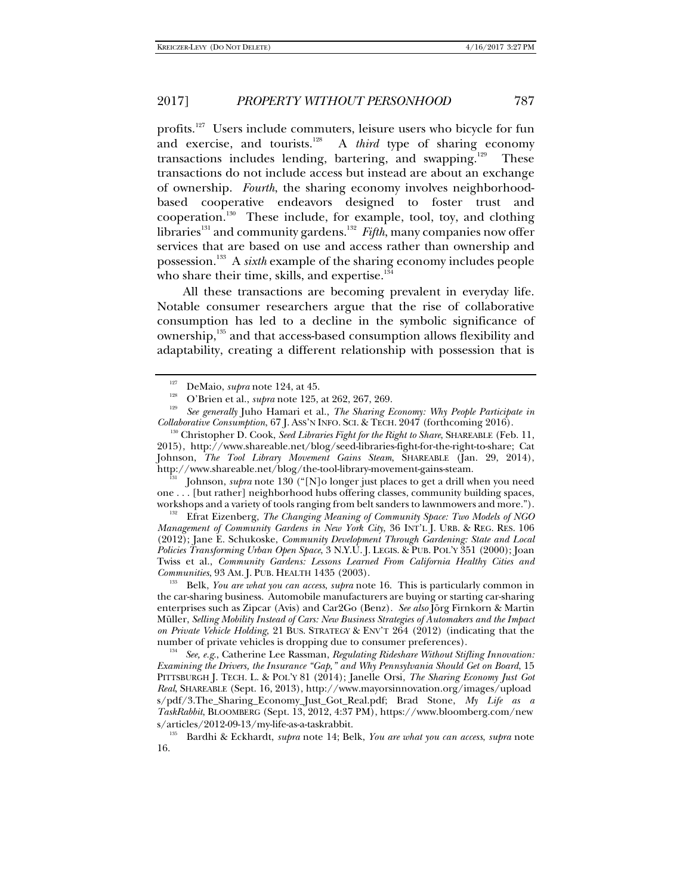profits.<sup>127</sup> Users include commuters, leisure users who bicycle for fun and exercise, and tourists.<sup>128</sup> A *third* type of sharing economy transactions includes lending, bartering, and swapping.<sup>129</sup> These transactions do not include access but instead are about an exchange of ownership. *Fourth*, the sharing economy involves neighborhoodbased cooperative endeavors designed to foster trust and cooperation.<sup>130</sup> These include, for example, tool, toy, and clothing libraries<sup>131</sup> and community gardens.<sup>132</sup> *Fifth*, many companies now offer services that are based on use and access rather than ownership and possession.133 A *sixth* example of the sharing economy includes people who share their time, skills, and expertise. $134$ 

All these transactions are becoming prevalent in everyday life. Notable consumer researchers argue that the rise of collaborative consumption has led to a decline in the symbolic significance of ownership,<sup>135</sup> and that access-based consumption allows flexibility and adaptability, creating a different relationship with possession that is

 Johnson, *supra* note 130 ("[N]o longer just places to get a drill when you need one . . . [but rather] neighborhood hubs offering classes, community building spaces, workshops and a variety of tools ranging from belt sanders to lawnmowers and more."). 132 Efrat Eizenberg, *The Changing Meaning of Community Space: Two Models of NGO* 

*Management of Community Gardens in New York City*, 36 INT'L J. URB. & REG. RES. 106 (2012); Jane E. Schukoske, *Community Development Through Gardening: State and Local Policies Transforming Urban Open Space*, 3 N.Y.U. J. LEGIS. & PUB. POL'Y 351 (2000); Joan Twiss et al., *Community Gardens: Lessons Learned From California Healthy Cities and Communities*, 93 AM. J. PUB. HEALTH 1435 (2003).

<sup>133</sup> Belk, *You are what you can access, supra* note 16. This is particularly common in the car-sharing business. Automobile manufacturers are buying or starting car-sharing enterprises such as Zipcar (Avis) and Car2Go (Benz). *See also* Jörg Firnkorn & Martin Müller, *Selling Mobility Instead of Cars: New Business Strategies of Automakers and the Impact on Private Vehicle Holding*, 21 BUS. STRATEGY & ENV'T 264 (2012) (indicating that the number of private vehicles is dropping due to consumer preferences).

<sup>134</sup>*See, e.g*., Catherine Lee Rassman, *Regulating Rideshare Without Stifling Innovation: Examining the Drivers, the Insurance "Gap," and Why Pennsylvania Should Get on Board*, 15 PITTSBURGH J. TECH. L. & POL'Y 81 (2014); Janelle Orsi, *The Sharing Economy Just Got Real*, SHAREABLE (Sept. 16, 2013), http://www.mayorsinnovation.org/images/upload s/pdf/3.The\_Sharing\_Economy\_Just\_Got\_Real.pdf; Brad Stone, *My Life as a TaskRabbit*, BLOOMBERG (Sept. 13, 2012, 4:37 PM), https://www.bloomberg.com/new  $s/ \mathrm{articles}/2012$ -09-13/my-life-as-a-taskrabbit.

 Bardhi & Eckhardt, *supra* note 14; Belk, *You are what you can access*, *supra* note 16.

<sup>127</sup> DeMaio, *supra* note 124, at 45. 128

O'Brien et al., *supra* note 125, at 262, 267, 269.

*See generally* Juho Hamari et al., *The Sharing Economy: Why People Participate in* 

*Collaborative Consumption*, 67 J. ASS'N INFO. SCI. & TECH. 2047 (forthcoming 2016). 130 Christopher D. Cook, *Seed Libraries Fight for the Right to Share*, SHAREABLE (Feb. 11, 2015), http://www.shareable.net/blog/seed-libraries-fight-for-the-right-to-share; Cat Johnson, *The Tool Library Movement Gains Steam*, SHAREABLE (Jan. 29, 2014), http://www.shareable.net/blog/the-tool-library-movement-gains-steam.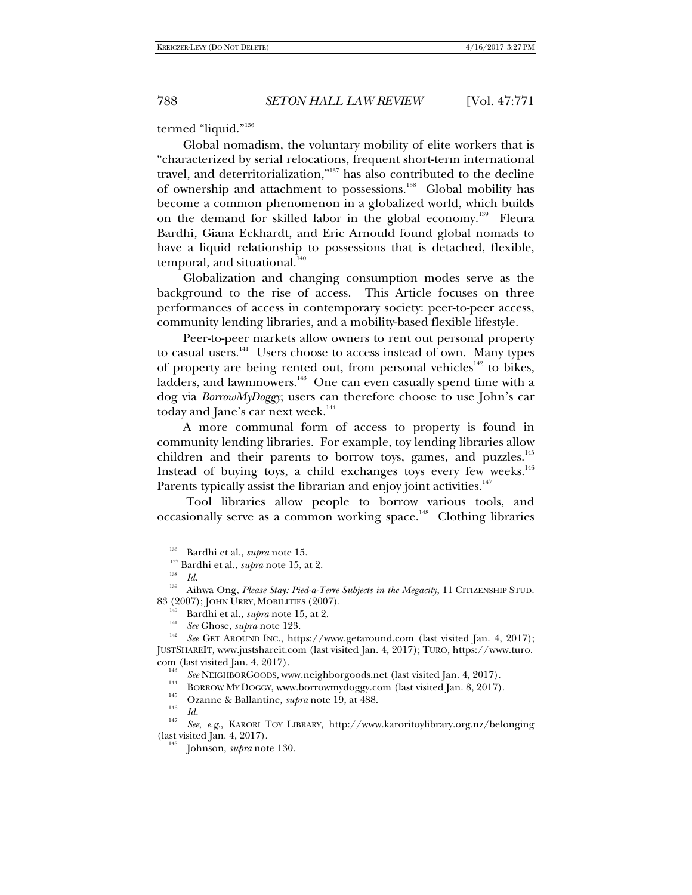termed "liquid."136

Global nomadism, the voluntary mobility of elite workers that is "characterized by serial relocations, frequent short-term international travel, and deterritorialization,"137 has also contributed to the decline of ownership and attachment to possessions.<sup>138</sup> Global mobility has become a common phenomenon in a globalized world, which builds on the demand for skilled labor in the global economy.<sup>139</sup> Fleura Bardhi, Giana Eckhardt, and Eric Arnould found global nomads to have a liquid relationship to possessions that is detached, flexible, temporal, and situational.<sup>140</sup>

Globalization and changing consumption modes serve as the background to the rise of access. This Article focuses on three performances of access in contemporary society: peer-to-peer access, community lending libraries, and a mobility-based flexible lifestyle.

Peer-to-peer markets allow owners to rent out personal property to casual users.<sup>141</sup> Users choose to access instead of own. Many types of property are being rented out, from personal vehicles<sup>142</sup> to bikes, ladders, and lawnmowers.<sup>143</sup> One can even casually spend time with a dog via *BorrowMyDoggy*; users can therefore choose to use John's car today and Jane's car next week.<sup>144</sup>

A more communal form of access to property is found in community lending libraries. For example, toy lending libraries allow children and their parents to borrow toys, games, and puzzles.<sup>145</sup> Instead of buying toys, a child exchanges toys every few weeks. $146$ Parents typically assist the librarian and enjoy joint activities.<sup>147</sup>

 Tool libraries allow people to borrow various tools, and occasionally serve as a common working space.<sup>148</sup> Clothing libraries

<sup>&</sup>lt;sup>136</sup> Bardhi et al., *supra* note 15.<br><sup>137</sup> Bardhi et al., *supra* note 15, at 2.<br>*1*<sup>38</sup> *Id*.

<sup>&</sup>lt;sup>139</sup> Aihwa Ong, *Please Stay: Pied-a-Terre Subjects in the Megacity*, 11 CITIZENSHIP STUD. 83 (2007); JOHN URRY, MOBILITIES (2007).<br><sup>140</sup> Bardhi et al., *supra* note 15, at 2.

<sup>&</sup>lt;sup>141</sup> See Ghose, *supra* note 123. 1<sup>42</sup> *See* GET AROUND INC., https://www.getaround.com (last visited Jan. 4, 2017); JUSTSHAREIT, www.justshareit.com (last visited Jan. 4, 2017); TURO, https://www.turo. com (last visited Jan. 4, 2017).<br><sup>143</sup> See NEIGHBORGOODS, www.neighborgoods.net (last visited Jan. 4, 2017).

<sup>&</sup>lt;sup>144</sup> BORROW MY DOGGY, www.borrowmydoggy.com (last visited Jan. 8, 2017).<br>
<sup>145</sup> Ozanne & Ballantine, *supra* note 19, at 488. 146 *Id.* 

*Id.* <sup>147</sup> *See, e.g.*, KARORI TOY LIBRARY, http://www.karoritoylibrary.org.nz/belonging (last visited Jan. 4, 2017).

Johnson, *supra* note 130.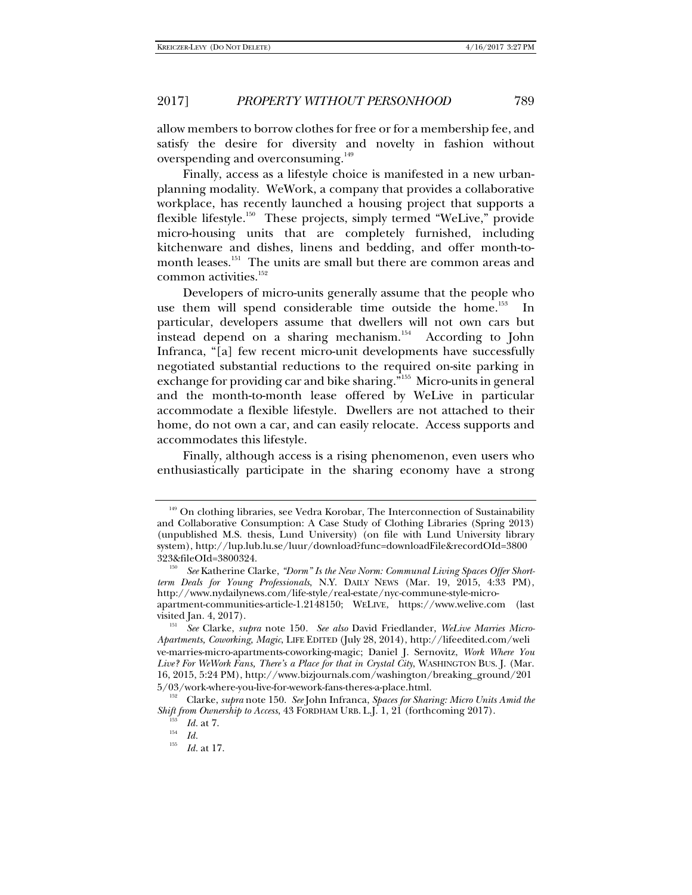allow members to borrow clothes for free or for a membership fee, and satisfy the desire for diversity and novelty in fashion without overspending and overconsuming.<sup>149</sup>

Finally, access as a lifestyle choice is manifested in a new urbanplanning modality. WeWork, a company that provides a collaborative workplace, has recently launched a housing project that supports a flexible lifestyle.<sup>150</sup> These projects, simply termed "WeLive," provide micro-housing units that are completely furnished, including kitchenware and dishes, linens and bedding, and offer month-tomonth leases.<sup>151</sup> The units are small but there are common areas and common activities.<sup>152</sup>

Developers of micro-units generally assume that the people who use them will spend considerable time outside the home.<sup>153</sup> In particular, developers assume that dwellers will not own cars but instead depend on a sharing mechanism.<sup>154</sup> According to John Infranca, "[a] few recent micro-unit developments have successfully negotiated substantial reductions to the required on-site parking in exchange for providing car and bike sharing."155 Micro-units in general and the month-to-month lease offered by WeLive in particular accommodate a flexible lifestyle. Dwellers are not attached to their home, do not own a car, and can easily relocate. Access supports and accommodates this lifestyle.

Finally, although access is a rising phenomenon, even users who enthusiastically participate in the sharing economy have a strong

<sup>&</sup>lt;sup>149</sup> On clothing libraries, see Vedra Korobar, The Interconnection of Sustainability and Collaborative Consumption: A Case Study of Clothing Libraries (Spring 2013) (unpublished M.S. thesis, Lund University) (on file with Lund University library system), http://lup.lub.lu.se/luur/download?func=downloadFile&recordOId=3800 323&fileOId=3800324. 150 *See* Katherine Clarke, *"Dorm" Is the New Norm: Communal Living Spaces Offer Short-*

*term Deals for Young Professionals*, N.Y. DAILY NEWS (Mar. 19, 2015, 4:33 PM), http://www.nydailynews.com/life-style/real-estate/nyc-commune-style-microapartment-communities-article-1.2148150; WELIVE, https://www.welive.com (last

visited Jan. 4, 2017). 151 *See* Clarke, *supra* note 150*. See also* David Friedlander, *WeLive Marries Micro-Apartments, Coworking, Magic*, LIFE EDITED (July 28, 2014), http://lifeedited.com/weli ve-marries-micro-apartments-coworking-magic; Daniel J. Sernovitz, *Work Where You Live? For WeWork Fans, There's a Place for that in Crystal City*, WASHINGTON BUS. J. (Mar. 16, 2015, 5:24 PM), http://www.bizjournals.com/washington/breaking\_ground/201 5/03/work-where-you-live-for-wework-fans-theres-a-place.html. 152

Clarke, *supra* note 150. *See* John Infranca, *Spaces for Sharing: Micro Units Amid the Shift from Ownership to Access*, 43 FORDHAM URB. L.J. 1, 21 (forthcoming 2017).

 $\frac{^{153}}{^{154}}$  *Id.* at 7.

<sup>155</sup> *Id.* at 17.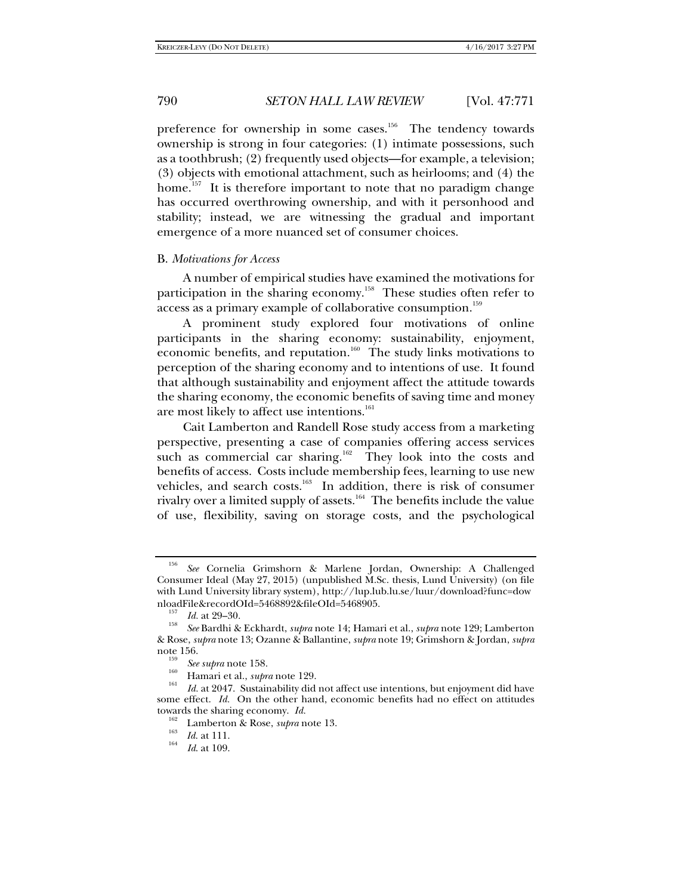preference for ownership in some cases.<sup>156</sup> The tendency towards ownership is strong in four categories: (1) intimate possessions, such as a toothbrush; (2) frequently used objects—for example, a television; (3) objects with emotional attachment, such as heirlooms; and (4) the home.<sup>157</sup> It is therefore important to note that no paradigm change has occurred overthrowing ownership, and with it personhood and stability; instead, we are witnessing the gradual and important emergence of a more nuanced set of consumer choices.

### B. *Motivations for Access*

A number of empirical studies have examined the motivations for participation in the sharing economy.<sup>158</sup> These studies often refer to access as a primary example of collaborative consumption.<sup>159</sup>

A prominent study explored four motivations of online participants in the sharing economy: sustainability, enjoyment, economic benefits, and reputation.<sup>160</sup> The study links motivations to perception of the sharing economy and to intentions of use. It found that although sustainability and enjoyment affect the attitude towards the sharing economy, the economic benefits of saving time and money are most likely to affect use intentions.<sup>161</sup>

Cait Lamberton and Randell Rose study access from a marketing perspective, presenting a case of companies offering access services such as commercial car sharing.<sup>162</sup> They look into the costs and benefits of access. Costs include membership fees, learning to use new vehicles, and search costs.<sup>163</sup> In addition, there is risk of consumer rivalry over a limited supply of assets.<sup>164</sup> The benefits include the value of use, flexibility, saving on storage costs, and the psychological

<sup>156</sup> *See* Cornelia Grimshorn & Marlene Jordan, Ownership: A Challenged Consumer Ideal (May 27, 2015) (unpublished M.Sc. thesis, Lund University) (on file with Lund University library system), http://lup.lub.lu.se/luur/download?func=dow nloadFile&recordOId=5468892&fileOId=5468905. 157 *Id.* at 29–30. 158 *See* Bardhi & Eckhardt, *supra* note 14; Hamari et al., *supra* note 129; Lamberton

<sup>&</sup>amp; Rose, *supra* note 13; Ozanne & Ballantine, *supra* note 19; Grimshorn & Jordan, *supra*

 $\frac{159}{160}$  *See supra* note 158.

 $^{160}$  Hamari et al., *supra* note 129.

*Id.* at 2047. Sustainability did not affect use intentions, but enjoyment did have some effect. *Id.* On the other hand, economic benefits had no effect on attitudes towards the sharing economy. *Id.* 

<sup>&</sup>lt;sup>163</sup> Lamberton & Rose, *supra* note 13.<br> *Id.* at 111.

*Id*. at 109.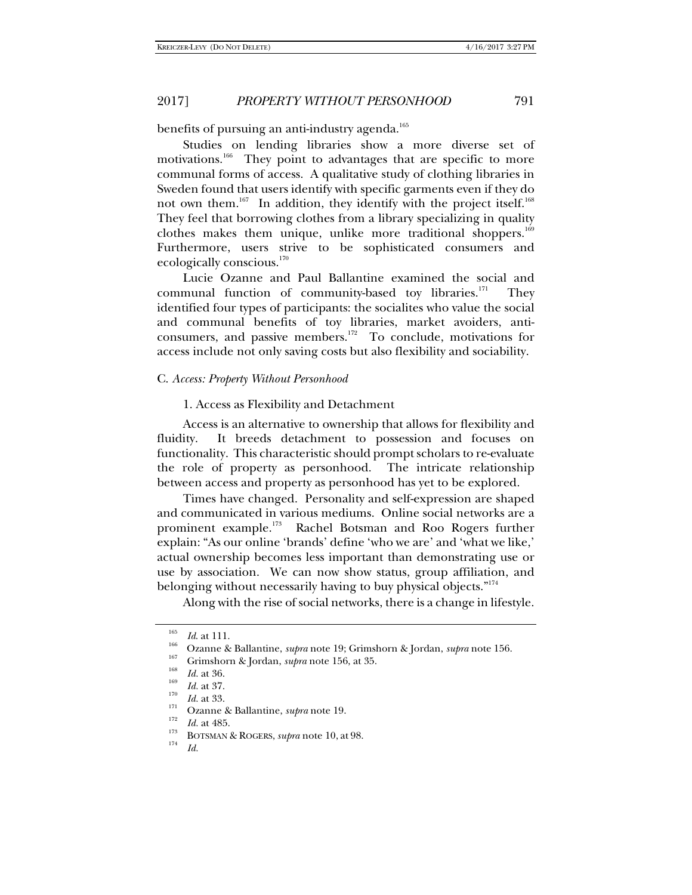benefits of pursuing an anti-industry agenda.<sup>165</sup>

Studies on lending libraries show a more diverse set of motivations.<sup>166</sup> They point to advantages that are specific to more communal forms of access. A qualitative study of clothing libraries in Sweden found that users identify with specific garments even if they do not own them.<sup>167</sup> In addition, they identify with the project itself.<sup>168</sup> They feel that borrowing clothes from a library specializing in quality clothes makes them unique, unlike more traditional shoppers.<sup>169</sup> Furthermore, users strive to be sophisticated consumers and ecologically conscious.<sup>170</sup>

Lucie Ozanne and Paul Ballantine examined the social and communal function of community-based toy libraries.<sup>171</sup> They identified four types of participants: the socialites who value the social and communal benefits of toy libraries, market avoiders, anticonsumers, and passive members.172 To conclude, motivations for access include not only saving costs but also flexibility and sociability.

## C. *Access: Property Without Personhood*

### 1. Access as Flexibility and Detachment

Access is an alternative to ownership that allows for flexibility and fluidity. It breeds detachment to possession and focuses on functionality. This characteristic should prompt scholars to re-evaluate the role of property as personhood. The intricate relationship between access and property as personhood has yet to be explored.

Times have changed. Personality and self-expression are shaped and communicated in various mediums. Online social networks are a prominent example.<sup>173</sup> Rachel Botsman and Roo Rogers further explain: "As our online 'brands' define 'who we are' and 'what we like,' actual ownership becomes less important than demonstrating use or use by association. We can now show status, group affiliation, and belonging without necessarily having to buy physical objects."<sup>174</sup>

Along with the rise of social networks, there is a change in lifestyle.

<sup>&</sup>lt;sup>165</sup> *Id.* at 111.<br><sup>166</sup> Ozanne & Ballantine, *supra* note 19; Grimshorn & Jordan, *supra* note 156.

<sup>&</sup>lt;sup>167</sup> Grimshorn & Jordan, *supra* note 156, at 35.<br> *Id.* at 36.<br> *Id.* at 37.<br> *Id.* at 33.

<sup>&</sup>lt;sup>I71</sup> Ozanne & Ballantine, *supra* note 19.<br><sup>I72</sup> Id. at 485.

<sup>&</sup>lt;sup>173</sup> BOTSMAN & ROGERS, *supra* note 10, at 98.

*Id.*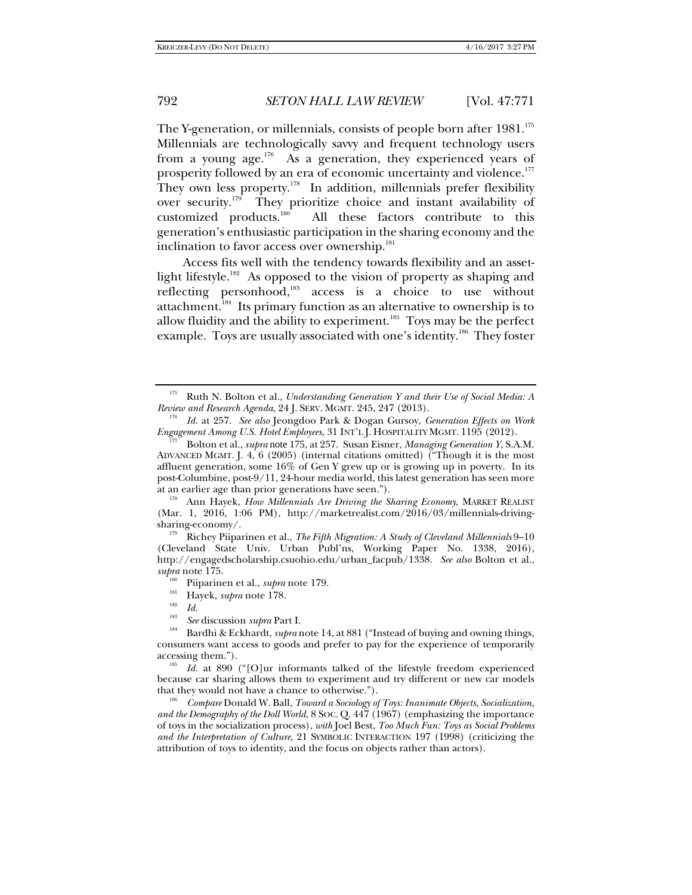The Y-generation, or millennials, consists of people born after 1981.<sup>175</sup> Millennials are technologically savvy and frequent technology users from a young age.<sup>176</sup> As a generation, they experienced years of prosperity followed by an era of economic uncertainty and violence.<sup>177</sup> They own less property.<sup>178</sup> In addition, millennials prefer flexibility over security.<sup>179</sup> They prioritize choice and instant availability of customized products.<sup>180</sup> All these factors contribute to this All these factors contribute to this generation's enthusiastic participation in the sharing economy and the inclination to favor access over ownership.<sup>181</sup>

Access fits well with the tendency towards flexibility and an assetlight lifestyle.<sup>182</sup> As opposed to the vision of property as shaping and reflecting personhood,<sup>183</sup> access is a choice to use without attachment.<sup>184</sup> Its primary function as an alternative to ownership is to allow fluidity and the ability to experiment.<sup>185</sup> Toys may be the perfect example. Toys are usually associated with one's identity.<sup>186</sup> They foster

<sup>178</sup> Ann Hayek, *How Millennials Are Driving the Sharing Economy*, MARKET REALIST (Mar. 1, 2016, 1:06 PM), http://marketrealist.com/2016/03/millennials-drivingsharing-economy/.

<sup>179</sup> Richey Piiparinen et al., *The Fifth Migration: A Study of Cleveland Millennials* 9–10 (Cleveland State Univ. Urban Publ'ns, Working Paper No. 1338, 2016), http://engagedscholarship.csuohio.edu/urban\_facpub/1338. *See also* Bolton et al., *supra* note 175.<br><sup>180</sup> Piiparinen et al., *supra* note 179.

<sup>181</sup> Hayek, *supra* note 178.<br><sup>182</sup> *Id.* 

 *Compare* Donald W. Ball, *Toward a Sociology of Toys: Inanimate Objects, Socialization, and the Demography of the Doll World*, 8 SOC. Q. 447 (1967) (emphasizing the importance of toys in the socialization process), *with* Joel Best, *Too Much Fun: Toys as Social Problems and the Interpretation of Culture*, 21 SYMBOLIC INTERACTION 197 (1998) (criticizing the attribution of toys to identity, and the focus on objects rather than actors).

<sup>175</sup> Ruth N. Bolton et al., *Understanding Generation Y and their Use of Social Media: A Review and Research Agenda*, 24 J. SERV. MGMT. 245, 247 (2013).

*Id.* at 257. *See also* Jeongdoo Park & Dogan Gursoy, *Generation Effects on Work Engagement Among U.S. Hotel Employees*, 31 INT'L J. HOSPITALITY MGMT. 1195 (2012). 177 Bolton et al., *supra* note 175, at 257. Susan Eisner, *Managing Generation Y*, S.A.M.

ADVANCED MGMT. J. 4, 6 (2005) (internal citations omitted) ("Though it is the most affluent generation, some 16% of Gen Y grew up or is growing up in poverty. In its post-Columbine, post-9/11, 24-hour media world, this latest generation has seen more at an earlier age than prior generations have seen.").

<sup>183</sup>

<sup>&</sup>lt;sup>183</sup> *See* discussion *supra* Part I.<br><sup>184</sup> Bardhi & Eckhardt, *supra* note 14, at 881 ("Instead of buying and owning things, consumers want access to goods and prefer to pay for the experience of temporarily accessing them.").

<sup>&</sup>lt;sup>185</sup> Id. at 890 ("[O]ur informants talked of the lifestyle freedom experienced because car sharing allows them to experiment and try different or new car models that they would not have a chance to otherwise.").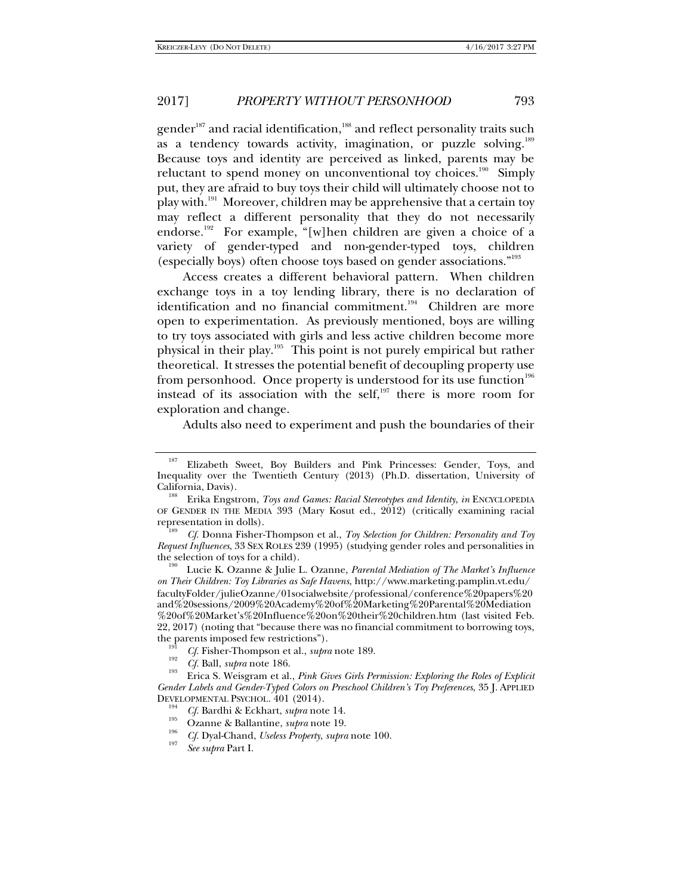gender<sup>187</sup> and racial identification,<sup>188</sup> and reflect personality traits such as a tendency towards activity, imagination, or puzzle solving.<sup>189</sup> Because toys and identity are perceived as linked, parents may be reluctant to spend money on unconventional toy choices.<sup>190</sup> Simply put, they are afraid to buy toys their child will ultimately choose not to play with.191 Moreover, children may be apprehensive that a certain toy may reflect a different personality that they do not necessarily endorse.<sup>192</sup> For example, "[w]hen children are given a choice of a variety of gender-typed and non-gender-typed toys, children (especially boys) often choose toys based on gender associations."193

Access creates a different behavioral pattern. When children exchange toys in a toy lending library, there is no declaration of identification and no financial commitment.<sup>194</sup> Children are more open to experimentation. As previously mentioned, boys are willing to try toys associated with girls and less active children become more physical in their play.195 This point is not purely empirical but rather theoretical. It stresses the potential benefit of decoupling property use from personhood. Once property is understood for its use function<sup>196</sup> instead of its association with the self, $197$  there is more room for exploration and change.

Adults also need to experiment and push the boundaries of their

the selection of toys for a child). 190 Lucie K. Ozanne & Julie L. Ozanne, *Parental Mediation of The Market's Influence on Their Children: Toy Libraries as Safe Havens*, http://www.marketing.pamplin.vt.edu/ facultyFolder/julieOzanne/01socialwebsite/professional/conference%20papers%20 and%20sessions/2009%20Academy%20of%20Marketing%20Parental%20Mediation %20of%20Market's%20Influence%20on%20their%20children.htm (last visited Feb. 22, 2017) (noting that "because there was no financial commitment to borrowing toys, the parents imposed few restrictions").

<sup>191</sup> *Cf.* Fisher-Thompson et al., *supra* note 189.<br>
<sup>192</sup> *Cf.* Ball, *supra* note 186.

<sup>&</sup>lt;sup>187</sup> Elizabeth Sweet, Boy Builders and Pink Princesses: Gender, Toys, and Inequality over the Twentieth Century (2013) (Ph.D. dissertation, University of California, Davis).

Erika Engstrom, *Toys and Games: Racial Stereotypes and Identity*, *in* ENCYCLOPEDIA OF GENDER IN THE MEDIA 393 (Mary Kosut ed., 2012) (critically examining racial representation in dolls).

*Cf.* Donna Fisher-Thompson et al., *Toy Selection for Children: Personality and Toy Request Influences*, 33 SEX ROLES 239 (1995) (studying gender roles and personalities in

Erica S. Weisgram et al., *Pink Gives Girls Permission: Exploring the Roles of Explicit Gender Labels and Gender-Typed Colors on Preschool Children's Toy Preferences*, 35 J. APPLIED

<sup>&</sup>lt;sup>194</sup> *Cf.* Bardhi & Eckhart, *supra* note 14.<br>Ozanne & Ballantine, *supra* note 19.

Ozanne & Ballantine, *supra* note 19. 196 *Cf.* Dyal-Chand, *Useless Property*, *supra* note 100. 197

*See supra* Part I.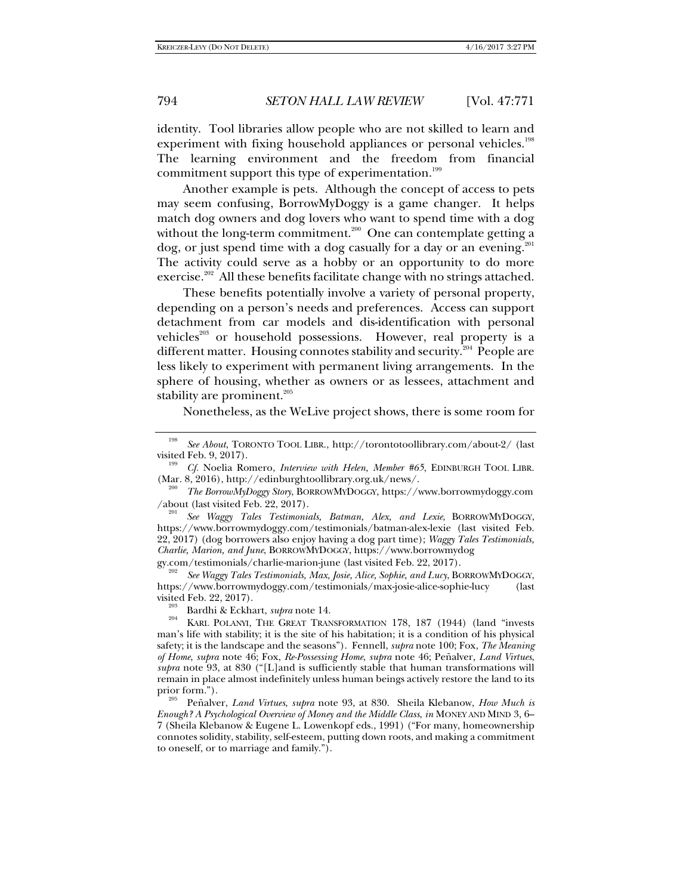identity. Tool libraries allow people who are not skilled to learn and experiment with fixing household appliances or personal vehicles.<sup>198</sup> The learning environment and the freedom from financial commitment support this type of experimentation.<sup>199</sup>

Another example is pets. Although the concept of access to pets may seem confusing, BorrowMyDoggy is a game changer. It helps match dog owners and dog lovers who want to spend time with a dog without the long-term commitment.<sup>200</sup> One can contemplate getting a  $\log$ , or just spend time with a dog casually for a day or an evening.<sup>201</sup> The activity could serve as a hobby or an opportunity to do more exercise.<sup>202</sup> All these benefits facilitate change with no strings attached.

These benefits potentially involve a variety of personal property, depending on a person's needs and preferences. Access can support detachment from car models and dis-identification with personal vehicles<sup>203</sup> or household possessions. However, real property is a different matter. Housing connotes stability and security.<sup>204</sup> People are less likely to experiment with permanent living arrangements. In the sphere of housing, whether as owners or as lessees, attachment and stability are prominent. $205$ 

Nonetheless, as the WeLive project shows, there is some room for

 *See Waggy Tales Testimonials, Batman, Alex, and Lexie*, BORROWMYDOGGY, https://www.borrowmydoggy.com/testimonials/batman-alex-lexie (last visited Feb. 22, 2017) (dog borrowers also enjoy having a dog part time); *Waggy Tales Testimonials, Charlie, Marion, and June*, BORROWMYDOGGY, https://www.borrowmydog

gy.com/testimonials/charlie-marion-june (last visited Feb. 22, 2017). 202 *See Waggy Tales Testimonials, Max, Josie, Alice, Sophie, and Lucy*, BORROWMYDOGGY, https://www.borrowmydoggy.com/testimonials/max-josie-alice-sophie-lucy (last

*Enough? A Psychological Overview of Money and the Middle Class*, *in* MONEY AND MIND 3, 6– 7 (Sheila Klebanow & Eugene L. Lowenkopf eds., 1991) ("For many, homeownership connotes solidity, stability, self-esteem, putting down roots, and making a commitment to oneself, or to marriage and family.").

<sup>198</sup> *See About*, TORONTO TOOL LIBR., http://torontotoollibrary.com/about-2/ (last visited Feb. 9, 2017).<br><sup>199</sup> *Cf.* Noelia Romero, *Interview with Helen, Member #65*, EDINBURGH TOOL LIBR.

<sup>(</sup>Mar. 8, 2016), http://edinburghtoollibrary.org.uk/news/. <sup>200</sup>*The BorrowMyDoggy Story*, BORROWMYDOGGY, https://www.borrowmydoggy.com

<sup>/</sup>about (last visited Feb. 22, 2017). 201

visited Feb. 22, 2017). 203 Bardhi & Eckhart, *supra* note 14. 204 KARL POLANYI, THE GREAT TRANSFORMATION 178, 187 (1944) (land "invests man's life with stability; it is the site of his habitation; it is a condition of his physical safety; it is the landscape and the seasons"). Fennell, *supra* note 100; Fox, *The Meaning of Home*, *supra* note 46; Fox, *Re-Possessing Home*, *supra* note 46; Peñalver*, Land Virtues*, *supra* note 93, at 830 ("[L]and is sufficiently stable that human transformations will remain in place almost indefinitely unless human beings actively restore the land to its prior form."). 205 Peñalver, *Land Virtues*, *supra* note 93, at 830. Sheila Klebanow, *How Much is*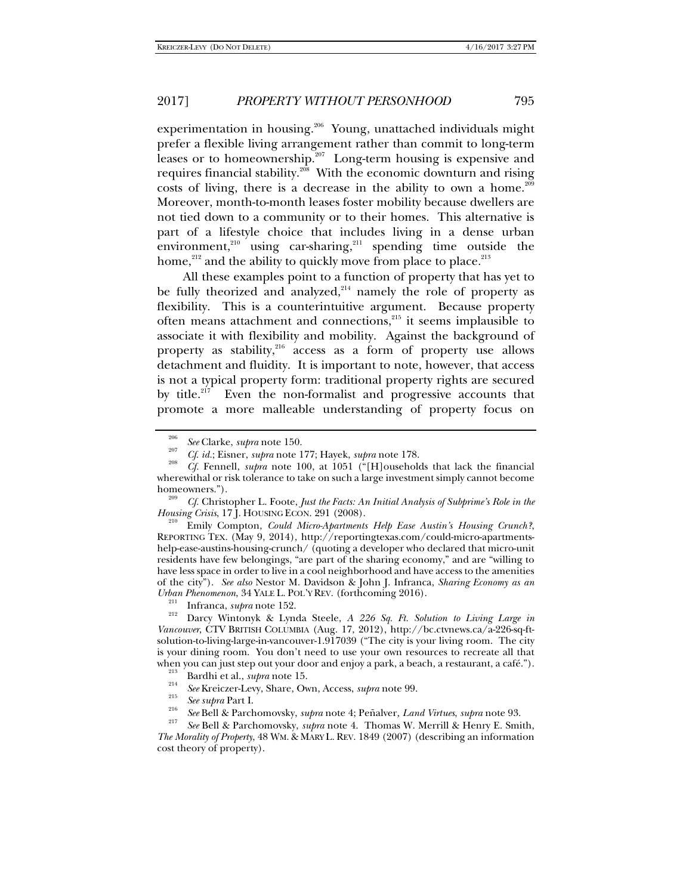experimentation in housing.<sup>206</sup> Young, unattached individuals might prefer a flexible living arrangement rather than commit to long-term leases or to homeownership.<sup>207</sup> Long-term housing is expensive and requires financial stability.<sup>208</sup> With the economic downturn and rising costs of living, there is a decrease in the ability to own a home.<sup>209</sup> Moreover, month-to-month leases foster mobility because dwellers are not tied down to a community or to their homes. This alternative is part of a lifestyle choice that includes living in a dense urban environment, $210$  using car-sharing, $211$  spending time outside the home,<sup>212</sup> and the ability to quickly move from place to place.<sup>213</sup>

All these examples point to a function of property that has yet to be fully theorized and analyzed, $214$  namely the role of property as flexibility. This is a counterintuitive argument. Because property often means attachment and connections,215 it seems implausible to associate it with flexibility and mobility. Against the background of property as stability, $216$  access as a form of property use allows detachment and fluidity. It is important to note, however, that access is not a typical property form: traditional property rights are secured by title. $217$  Even the non-formalist and progressive accounts that promote a more malleable understanding of property focus on

 Emily Compton, *Could Micro-Apartments Help Ease Austin's Housing Crunch?*, REPORTING TEX. (May 9, 2014), http://reportingtexas.com/could-micro-apartmentshelp-ease-austins-housing-crunch/ (quoting a developer who declared that micro-unit residents have few belongings, "are part of the sharing economy," and are "willing to have less space in order to live in a cool neighborhood and have access to the amenities of the city"). *See also* Nestor M. Davidson & John J. Infranca, *Sharing Economy as an* 

<sup>211</sup> Infranca, *supra* note 152.<br><sup>212</sup> Darcy Wintonyk & Lynda Steele, *A 226 Sq. Ft. Solution to Living Large in Vancouver*, CTV BRITISH COLUMBIA (Aug. 17, 2012), http://bc.ctvnews.ca/a-226-sq-ftsolution-to-living-large-in-vancouver-1.917039 ("The city is your living room. The city is your dining room. You don't need to use your own resources to recreate all that when you can just step out your door and enjoy a park, a beach, a restaurant, a café.").

- 
- <sup>213</sup> Bardhi et al., *supra* note 15.<br><sup>214</sup> *See* Kreiczer-Levy, Share, Own, Access, *supra* note 99.
- 
- <sup>215</sup> See supra Part I.<br><sup>216</sup> See Bell & Parchomovsky, *supra* note 4; Peñalver, *Land Virtues, supra* note 93.<br><sup>217</sup> See Bell & Parchomovsky, *supra* note 4. Thomas W. Merrill & Henry E. Smith,

*The Morality of Property*, 48 WM. & MARY L. REV. 1849 (2007) (describing an information cost theory of property).

<sup>206</sup> *See* Clarke, *supra* note 150. 207 *Cf*. *id.*; Eisner, *supra* note 177; Hayek, *supra* note 178. 208

*Cf.* Fennell, *supra* note 100, at 1051 ("[H]ouseholds that lack the financial wherewithal or risk tolerance to take on such a large investment simply cannot become homeowners.").

*Cf.* Christopher L. Foote, *Just the Facts: An Initial Analysis of Subprime's Role in the Housing Crisis*, 17 J. HOUSING ECON. 291 (2008).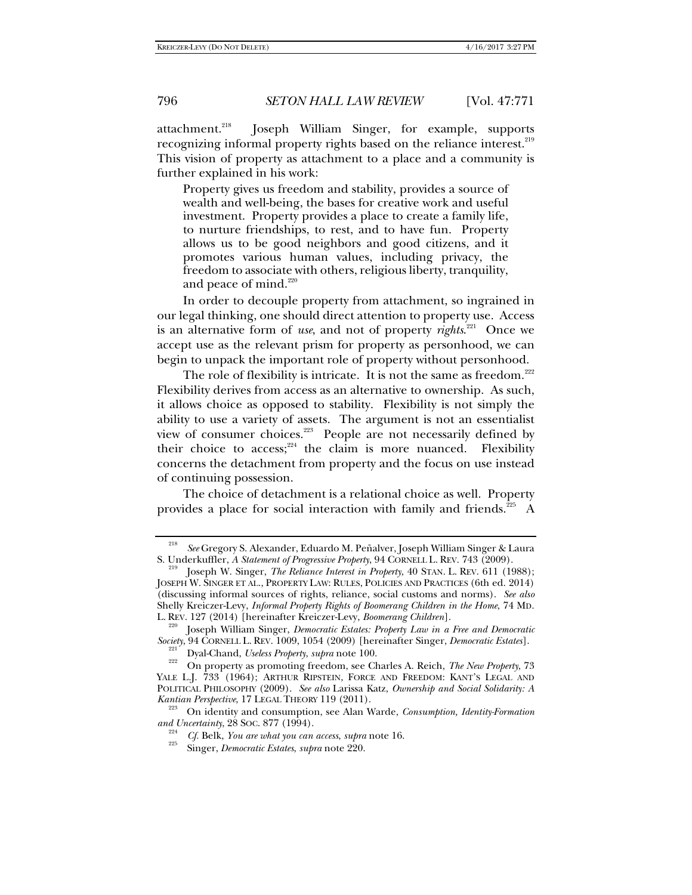attachment.<sup>218</sup> Joseph William Singer, for example, supports recognizing informal property rights based on the reliance interest.<sup>219</sup> This vision of property as attachment to a place and a community is further explained in his work:

Property gives us freedom and stability, provides a source of wealth and well-being, the bases for creative work and useful investment. Property provides a place to create a family life, to nurture friendships, to rest, and to have fun. Property allows us to be good neighbors and good citizens, and it promotes various human values, including privacy, the freedom to associate with others, religious liberty, tranquility, and peace of mind. $220$ 

In order to decouple property from attachment, so ingrained in our legal thinking, one should direct attention to property use. Access is an alternative form of *use*, and not of property *rights*. 221 Once we accept use as the relevant prism for property as personhood, we can begin to unpack the important role of property without personhood.

The role of flexibility is intricate. It is not the same as freedom. $222$ Flexibility derives from access as an alternative to ownership. As such, it allows choice as opposed to stability. Flexibility is not simply the ability to use a variety of assets. The argument is not an essentialist view of consumer choices. $223$  People are not necessarily defined by their choice to  $access;^{224}$  the claim is more nuanced. Flexibility concerns the detachment from property and the focus on use instead of continuing possession.

The choice of detachment is a relational choice as well. Property provides a place for social interaction with family and friends.<sup>225</sup> A

<sup>218</sup> *See* Gregory S. Alexander, Eduardo M. Peñalver, Joseph William Singer & Laura S. Underkuffler, *A Statement of Progressive Property*, 94 CORNELL L. REV. 743 (2009).

Joseph W. Singer, *The Reliance Interest in Property*, 40 STAN. L. REV. 611 (1988); JOSEPH W. SINGER ET AL., PROPERTY LAW: RULES, POLICIES AND PRACTICES (6th ed. 2014) (discussing informal sources of rights, reliance, social customs and norms). *See also* Shelly Kreiczer-Levy, *Informal Property Rights of Boomerang Children in the Home*, 74 MD.

L. REV. 127 (2014) [hereinafter Kreiczer-Levy, *Boomerang Children*]. 220 Joseph William Singer, *Democratic Estates: Property Law in a Free and Democratic Society*, 94 CORNELL L. REV. 1009, 1054 (2009) [hereinafter Singer, *Democratic Estates*]. 221 Dyal-Chand, *Useless Property*, *supra* note 100. 222

On property as promoting freedom, see Charles A. Reich, *The New Property*, 73 YALE L.J. 733 (1964); ARTHUR RIPSTEIN, FORCE AND FREEDOM: KANT'S LEGAL AND POLITICAL PHILOSOPHY (2009). *See also* Larissa Katz, *Ownership and Social Solidarity: A* 

*Kantian Perspective*, 17 LEGAL THEORY 119 (2011).<br><sup>223</sup> On identity and consumption, see Alan Warde, *Consumption, Identity-Formation and Uncertainty*, 28 SOC. 877 (1994).

<sup>&</sup>lt;sup>224</sup> *Cf.* Belk, *You are what you can access, supra* note 16.

Singer, *Democratic Estates*, *supra* note 220.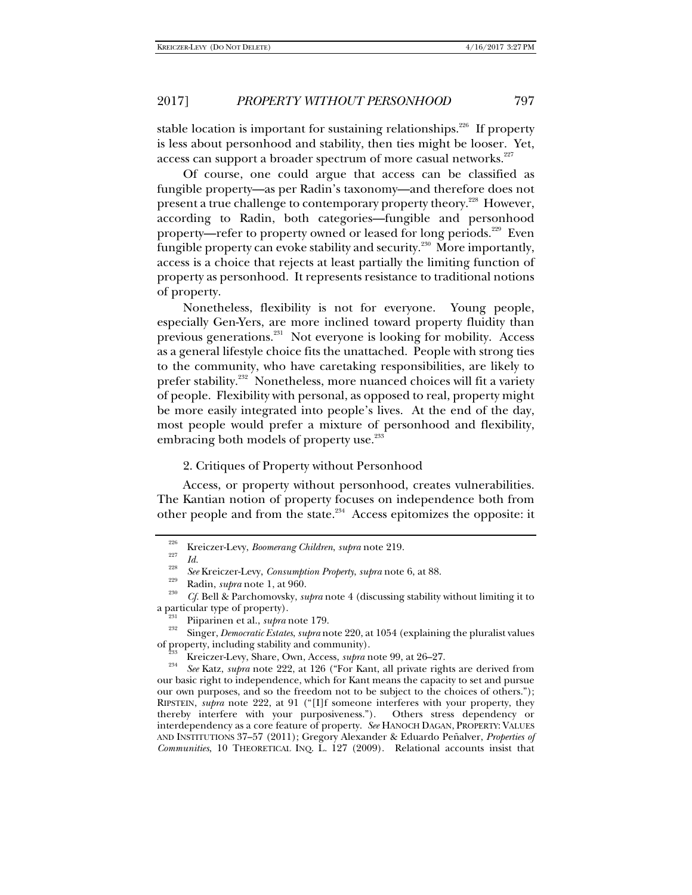stable location is important for sustaining relationships.<sup>226</sup> If property is less about personhood and stability, then ties might be looser. Yet, access can support a broader spectrum of more casual networks.<sup>227</sup>

Of course, one could argue that access can be classified as fungible property—as per Radin's taxonomy—and therefore does not present a true challenge to contemporary property theory.<sup>228</sup> However, according to Radin, both categories—fungible and personhood property—refer to property owned or leased for long periods.<sup>229</sup> Even fungible property can evoke stability and security.<sup>230</sup> More importantly, access is a choice that rejects at least partially the limiting function of property as personhood. It represents resistance to traditional notions of property.

Nonetheless, flexibility is not for everyone. Young people, especially Gen-Yers, are more inclined toward property fluidity than previous generations.<sup>231</sup> Not everyone is looking for mobility. Access as a general lifestyle choice fits the unattached. People with strong ties to the community, who have caretaking responsibilities, are likely to prefer stability.<sup>232</sup> Nonetheless, more nuanced choices will fit a variety of people. Flexibility with personal, as opposed to real, property might be more easily integrated into people's lives. At the end of the day, most people would prefer a mixture of personhood and flexibility, embracing both models of property use.<sup>233</sup>

# 2. Critiques of Property without Personhood

Access, or property without personhood, creates vulnerabilities. The Kantian notion of property focuses on independence both from other people and from the state.<sup>234</sup> Access epitomizes the opposite: it

<sup>&</sup>lt;sup>226</sup> Kreiczer-Levy, *Boomerang Children*, *supra* note 219.<br>
<sup>228</sup> *Id.* 228

<sup>&</sup>lt;sup>228</sup> *See* Kreiczer-Levy, *Consumption Property, supra* note 6, at 88.<br><sup>229</sup> Radin, *supra* note 1, at 960.

<sup>&</sup>lt;sup>230</sup> *Cf.* Bell & Parchomovsky, *supra* note 4 (discussing stability without limiting it to a particular type of property).<br>
<sup>231</sup> Piiparinen et al., *supra* note 179.

<sup>&</sup>lt;sup>232</sup> Singer, *Democratic Estates*, *supra* note 220, at 1054 (explaining the pluralist values of property, including stability and community).

<sup>&</sup>lt;sup>233</sup> Kreiczer-Levy, Share, Own, Access, *supra* note 99, at 26–27.<br><sup>234</sup> See Katz, subra pote 999, at 196 ("For Kant, all printe rich

*See* Katz, *supra* note 222, at 126 ("For Kant, all private rights are derived from our basic right to independence, which for Kant means the capacity to set and pursue our own purposes, and so the freedom not to be subject to the choices of others."); RIPSTEIN, *supra* note 222, at 91 ("[I]f someone interferes with your property, they thereby interfere with your purposiveness."). Others stress dependency or interdependency as a core feature of property. *See* HANOCH DAGAN, PROPERTY: VALUES AND INSTITUTIONS 37–57 (2011); Gregory Alexander & Eduardo Peñalver, *Properties of Communities*, 10 THEORETICAL INQ. L. 127 (2009). Relational accounts insist that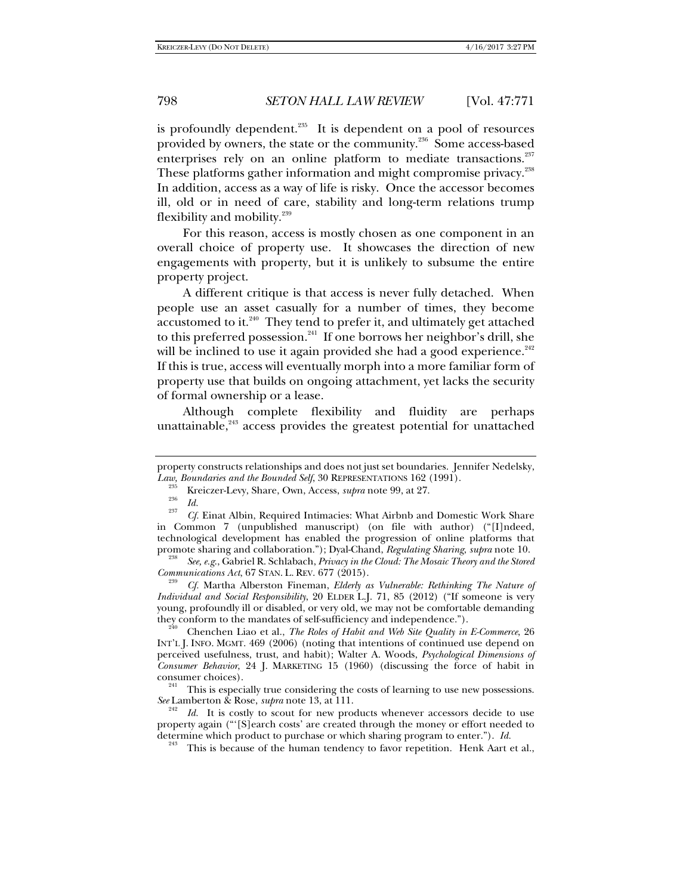is profoundly dependent. $235$  It is dependent on a pool of resources provided by owners, the state or the community.<sup>236</sup> Some access-based enterprises rely on an online platform to mediate transactions.<sup>237</sup> These platforms gather information and might compromise privacy.<sup>238</sup> In addition, access as a way of life is risky. Once the accessor becomes ill, old or in need of care, stability and long-term relations trump flexibility and mobility. $239$ 

For this reason, access is mostly chosen as one component in an overall choice of property use. It showcases the direction of new engagements with property, but it is unlikely to subsume the entire property project.

A different critique is that access is never fully detached. When people use an asset casually for a number of times, they become accustomed to it.<sup>240</sup> They tend to prefer it, and ultimately get attached to this preferred possession.<sup>241</sup> If one borrows her neighbor's drill, she will be inclined to use it again provided she had a good experience. $242$ If this is true, access will eventually morph into a more familiar form of property use that builds on ongoing attachment, yet lacks the security of formal ownership or a lease.

Although complete flexibility and fluidity are perhaps unattainable, $243$  access provides the greatest potential for unattached

property constructs relationships and does not just set boundaries. Jennifer Nedelsky, Law, Boundaries and the Bounded Self, 30 REPRESENTATIONS 162 (1991).

<sup>&</sup>lt;sup>233</sup> Kreiczer-Levy, Share, Own, Access, *supra* note 99, at 27.

<sup>&</sup>lt;sup>237</sup> *Cf.* Einat Albin, Required Intimacies: What Airbnb and Domestic Work Share in Common 7 (unpublished manuscript) (on file with author) ("[I]ndeed, technological development has enabled the progression of online platforms that promote sharing and collaboration."); Dyal-Chand, *Regulating Sharing*, *supra* note 10. 238

*See, e.g*., Gabriel R. Schlabach, *Privacy in the Cloud: The Mosaic Theory and the Stored Communications Act*, 67 STAN. L. REV. 677 (2015).

*Cf.* Martha Alberston Fineman, *Elderly as Vulnerable: Rethinking The Nature of Individual and Social Responsibility*, 20 ELDER L.J. 71, 85 (2012) ("If someone is very young, profoundly ill or disabled, or very old, we may not be comfortable demanding they conform to the mandates of self-sufficiency and independence.").

Chenchen Liao et al., *The Roles of Habit and Web Site Quality in E-Commerce*, 26 INT'L J. INFO. MGMT. 469 (2006) (noting that intentions of continued use depend on perceived usefulness, trust, and habit); Walter A. Woods, *Psychological Dimensions of Consumer Behavior*, 24 J. MARKETING 15 (1960) (discussing the force of habit in

<sup>&</sup>lt;sup>241</sup> This is especially true considering the costs of learning to use new possessions. *See* Lamberton & Rose, *supra* note 13, at 111.<br><sup>242</sup> *Id.* It is costly to scout for new products whenever accessors decide to use

property again ("'[S]earch costs' are created through the money or effort needed to determine which product to purchase or which sharing program to enter."). *Id.* 

<sup>&</sup>lt;sup>243</sup> This is because of the human tendency to favor repetition. Henk Aart et al.,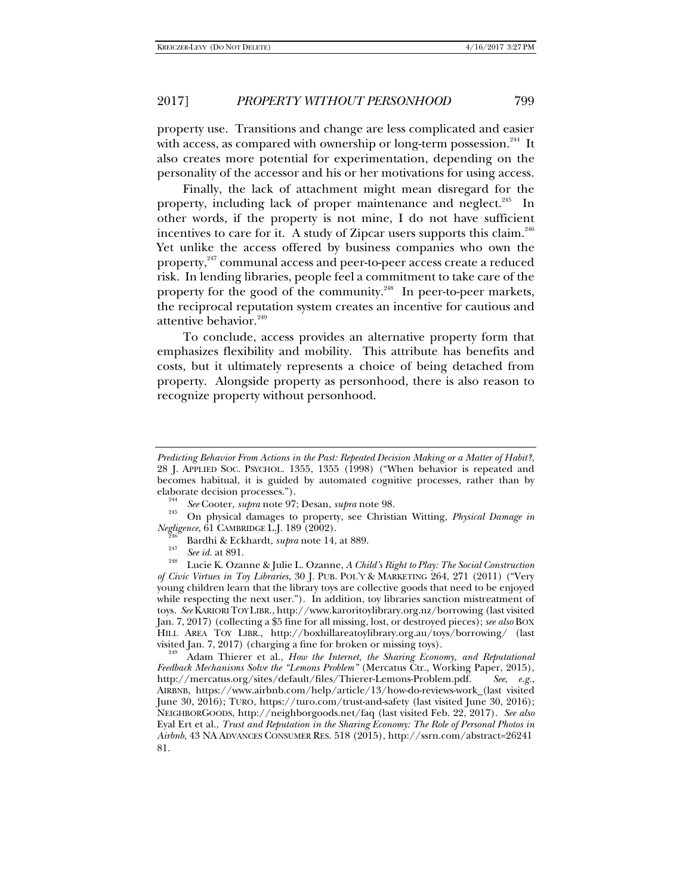property use. Transitions and change are less complicated and easier with access, as compared with ownership or long-term possession.<sup>244</sup> It also creates more potential for experimentation, depending on the personality of the accessor and his or her motivations for using access.

Finally, the lack of attachment might mean disregard for the property, including lack of proper maintenance and neglect.<sup>245</sup> In other words, if the property is not mine, I do not have sufficient incentives to care for it. A study of Zipcar users supports this claim.<sup>246</sup> Yet unlike the access offered by business companies who own the property,<sup>247</sup> communal access and peer-to-peer access create a reduced risk. In lending libraries, people feel a commitment to take care of the property for the good of the community.<sup>248</sup> In peer-to-peer markets, the reciprocal reputation system creates an incentive for cautious and attentive behavior.<sup>249</sup>

To conclude, access provides an alternative property form that emphasizes flexibility and mobility. This attribute has benefits and costs, but it ultimately represents a choice of being detached from property. Alongside property as personhood, there is also reason to recognize property without personhood.

*Predicting Behavior From Actions in the Past: Repeated Decision Making or a Matter of Habit?*, 28 J. APPLIED SOC. PSYCHOL. 1355, 1355 (1998) ("When behavior is repeated and becomes habitual, it is guided by automated cognitive processes, rather than by elaborate decision processes.").

*See* Cooter, *supra* note 97; Desan, *supra* note 98. 245

On physical damages to property, see Christian Witting, *Physical Damage in Negligence*, 61 CAMBRIDGE L.J. 189 (2002).<br><sup>246</sup> Bardhi & Eckhardt, *supra* note 14, at 889.<br><sup>248</sup> *See id.* at 891.

Lucie K. Ozanne & Julie L. Ozanne, *A Child's Right to Play: The Social Construction of Civic Virtues in Toy Libraries*, 30 J. PUB. POL'Y & MARKETING 264, 271 (2011) ("Very young children learn that the library toys are collective goods that need to be enjoyed while respecting the next user."). In addition, toy libraries sanction mistreatment of toys. *See* KARIORI TOY LIBR., http://www.karoritoylibrary.org.nz/borrowing (last visited Jan. 7, 2017) (collecting a \$5 fine for all missing, lost, or destroyed pieces); *see also* BOX HILL AREA TOY LIBR., http://boxhillareatoylibrary.org.au/toys/borrowing/ (last

Adam Thierer et al., *How the Internet, the Sharing Economy, and Reputational Feedback Mechanisms Solve the "Lemons Problem"* (Mercatus Ctr., Working Paper, 2015), http://mercatus.org/sites/default/files/Thierer-Lemons-Problem.pdf. *See*, *e.g.*, AIRBNB, https://www.airbnb.com/help/article/13/how-do-reviews-work (last visited June 30, 2016); TURO, https://turo.com/trust-and-safety (last visited June 30, 2016); NEIGHBORGOODS, http://neighborgoods.net/faq (last visited Feb. 22, 2017). *See also* Eyal Ert et al., *Trust and Reputation in the Sharing Economy: The Role of Personal Photos in Airbnb*, 43 NA ADVANCES CONSUMER RES. 518 (2015), http://ssrn.com/abstract=26241 81.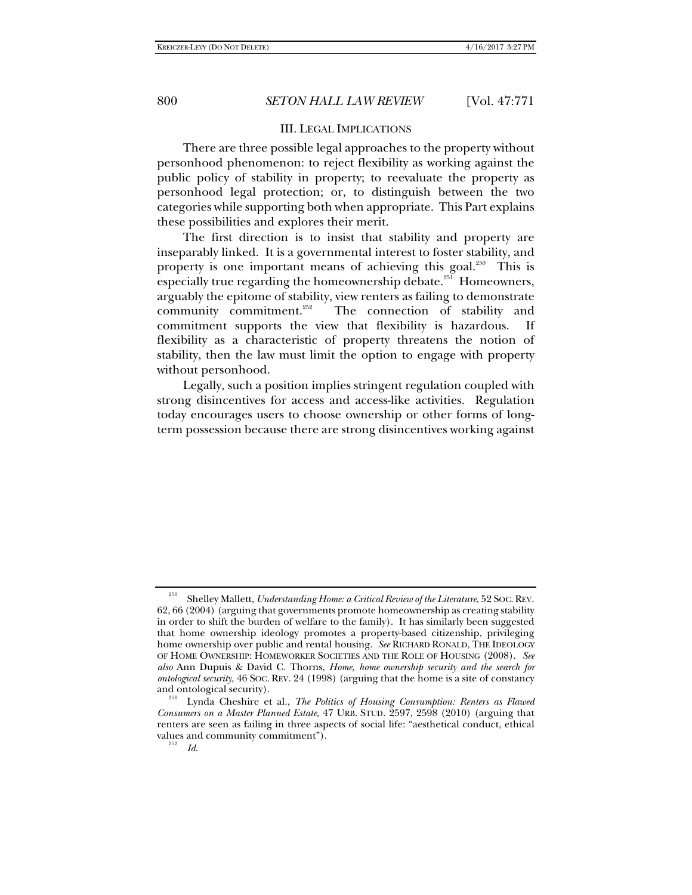## III. LEGAL IMPLICATIONS

There are three possible legal approaches to the property without personhood phenomenon: to reject flexibility as working against the public policy of stability in property; to reevaluate the property as personhood legal protection; or, to distinguish between the two categories while supporting both when appropriate. This Part explains these possibilities and explores their merit.

The first direction is to insist that stability and property are inseparably linked. It is a governmental interest to foster stability, and property is one important means of achieving this goal.<sup>250</sup> This is especially true regarding the homeownership debate.<sup>251</sup> Homeowners, arguably the epitome of stability, view renters as failing to demonstrate<br>community commitment.<sup>252</sup> The connection of stability and The connection of stability and commitment supports the view that flexibility is hazardous. If flexibility as a characteristic of property threatens the notion of stability, then the law must limit the option to engage with property without personhood.

Legally, such a position implies stringent regulation coupled with strong disincentives for access and access-like activities. Regulation today encourages users to choose ownership or other forms of longterm possession because there are strong disincentives working against

*Id*.

<sup>250</sup> Shelley Mallett, *Understanding Home: a Critical Review of the Literature*, 52 SOC. REV. 62, 66 (2004) (arguing that governments promote homeownership as creating stability in order to shift the burden of welfare to the family). It has similarly been suggested that home ownership ideology promotes a property-based citizenship, privileging home ownership over public and rental housing. *See* RICHARD RONALD, THE IDEOLOGY OF HOME OWNERSHIP: HOMEWORKER SOCIETIES AND THE ROLE OF HOUSING (2008). *See also* Ann Dupuis & David C. Thorns, *Home, home ownership security and the search for ontological security*, 46 SOC. REV. 24 (1998) (arguing that the home is a site of constancy and ontological security).

Lynda Cheshire et al., *The Politics of Housing Consumption: Renters as Flawed Consumers on a Master Planned Estate*, 47 URB. STUD. 2597, 2598 (2010) (arguing that renters are seen as failing in three aspects of social life: "aesthetical conduct, ethical values and community commitment").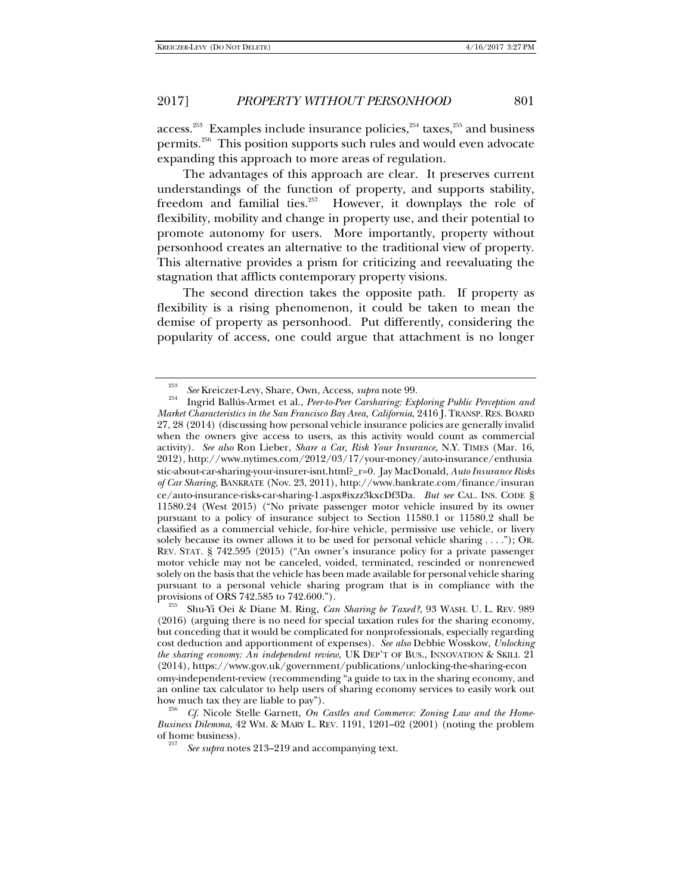access.<sup>253</sup> Examples include insurance policies,<sup>254</sup> taxes,<sup>255</sup> and business permits.256 This position supports such rules and would even advocate expanding this approach to more areas of regulation.

The advantages of this approach are clear. It preserves current understandings of the function of property, and supports stability, freedom and familial ties.<sup>257</sup> However, it downplays the role of flexibility, mobility and change in property use, and their potential to promote autonomy for users. More importantly, property without personhood creates an alternative to the traditional view of property. This alternative provides a prism for criticizing and reevaluating the stagnation that afflicts contemporary property visions.

The second direction takes the opposite path. If property as flexibility is a rising phenomenon, it could be taken to mean the demise of property as personhood. Put differently, considering the popularity of access, one could argue that attachment is no longer

<sup>&</sup>lt;sup>253</sup> See Kreiczer-Levy, Share, Own, Access, *supra* note 99.

Ingrid Ballús-Armet et al., *Peer-to-Peer Carsharing: Exploring Public Perception and Market Characteristics in the San Francisco Bay Area, California*, 2416 J. TRANSP. RES. BOARD 27, 28 (2014) (discussing how personal vehicle insurance policies are generally invalid when the owners give access to users, as this activity would count as commercial activity). *See also* Ron Lieber, *Share a Car, Risk Your Insurance*, N.Y. TIMES (Mar. 16, 2012), http://www.nytimes.com/2012/03/17/your-money/auto-insurance/enthusia stic-about-car-sharing-your-insurer-isnt.html?\_r=0. Jay MacDonald, *Auto Insurance Risks of Car Sharing*, BANKRATE (Nov. 23, 2011), http://www.bankrate.com/finance/insuran ce/auto-insurance-risks-car-sharing-1.aspx#ixzz3kxcDf3Da. *But see* CAL. INS. CODE § 11580.24 (West 2015) ("No private passenger motor vehicle insured by its owner pursuant to a policy of insurance subject to Section 11580.1 or 11580.2 shall be classified as a commercial vehicle, for-hire vehicle, permissive use vehicle, or livery solely because its owner allows it to be used for personal vehicle sharing . . . ."); OR. REV. STAT. § 742.595 (2015) ("An owner's insurance policy for a private passenger motor vehicle may not be canceled, voided, terminated, rescinded or nonrenewed solely on the basis that the vehicle has been made available for personal vehicle sharing pursuant to a personal vehicle sharing program that is in compliance with the

Shu-Yi Oei & Diane M. Ring, *Can Sharing be Taxed?*, 93 WASH. U. L. REV. 989 (2016) (arguing there is no need for special taxation rules for the sharing economy, but conceding that it would be complicated for nonprofessionals, especially regarding cost deduction and apportionment of expenses). *See also* Debbie Wosskow, *Unlocking the sharing economy: An independent review*, UK DEP'T OF BUS., INNOVATION & SKILL 21 (2014), https://www.gov.uk/government/publications/unlocking-the-sharing-econ omy-independent-review (recommending "a guide to tax in the sharing economy, and an online tax calculator to help users of sharing economy services to easily work out how much tax they are liable to pay"). 256 *Cf.* Nicole Stelle Garnett, *On Castles and Commerce: Zoning Law and the Home-*

*Business Dilemma*, 42 WM. & MARY L. REV. 1191, 1201–02 (2001) (noting the problem of home business).

*See supra* notes 213–219 and accompanying text.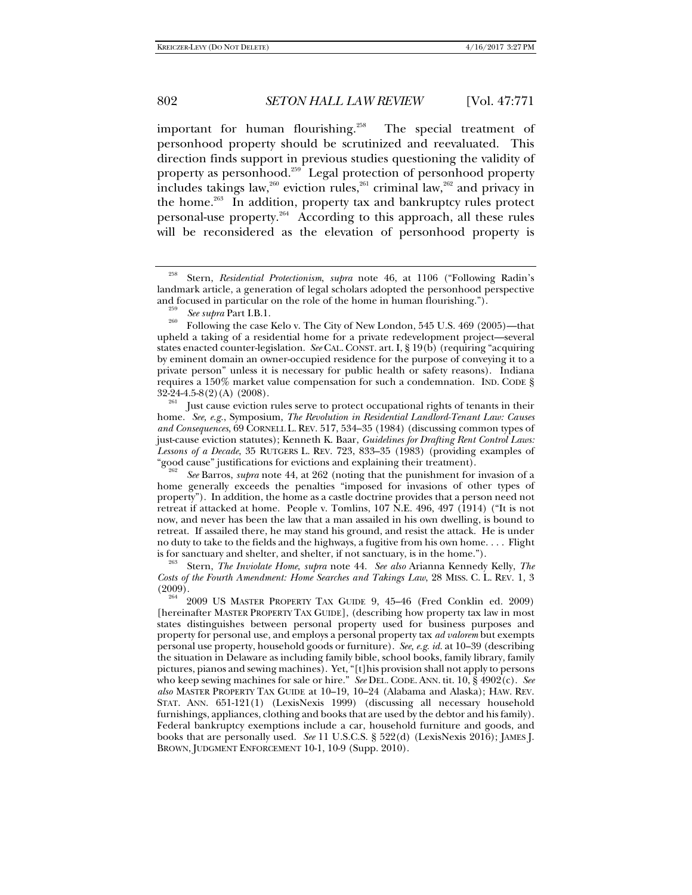important for human flourishing.<sup>258</sup> The special treatment of personhood property should be scrutinized and reevaluated. This direction finds support in previous studies questioning the validity of property as personhood.<sup>259</sup> Legal protection of personhood property includes takings law,<sup>260</sup> eviction rules,<sup>261</sup> criminal law,<sup>262</sup> and privacy in the home.263 In addition, property tax and bankruptcy rules protect personal-use property.<sup>264</sup> According to this approach, all these rules will be reconsidered as the elevation of personhood property is

<sup>258</sup> Stern, *Residential Protectionism*, *supra* note 46, at 1106 ("Following Radin's landmark article, a generation of legal scholars adopted the personhood perspective and focused in particular on the role of the home in human flourishing.").<br><sup>259</sup> See subra Part I.B.1.

<sup>&</sup>lt;sup>260</sup> Following the case Kelo v. The City of New London, 545 U.S. 469 (2005)—that upheld a taking of a residential home for a private redevelopment project—several states enacted counter-legislation. *See* CAL.CONST. art. I, § 19(b) (requiring "acquiring by eminent domain an owner-occupied residence for the purpose of conveying it to a private person" unless it is necessary for public health or safety reasons). Indiana requires a 150% market value compensation for such a condemnation. IND. CODE §  $32-24-4.5-8(2)(A)$  (2008).

Just cause eviction rules serve to protect occupational rights of tenants in their home. *See, e.g.*, Symposium, *The Revolution in Residential Landlord-Tenant Law: Causes and Consequences*, 69 CORNELL L. REV. 517, 534–35 (1984) (discussing common types of just-cause eviction statutes); Kenneth K. Baar, *Guidelines for Drafting Rent Control Laws: Lessons of a Decade*, 35 RUTGERS L. REV. 723, 833–35 (1983) (providing examples of

See Barros, *supra* note 44, at 262 (noting that the punishment for invasion of a home generally exceeds the penalties "imposed for invasions of other types of property"). In addition, the home as a castle doctrine provides that a person need not retreat if attacked at home. People v. Tomlins, 107 N.E. 496, 497 (1914) ("It is not now, and never has been the law that a man assailed in his own dwelling, is bound to retreat. If assailed there, he may stand his ground, and resist the attack. He is under no duty to take to the fields and the highways, a fugitive from his own home. . . . Flight is for sanctuary and shelter, and shelter, if not sanctuary, is in the home."). 263 Stern, *The Inviolate Home*, *supra* note 44. *See also* Arianna Kennedy Kelly, *The* 

*Costs of the Fourth Amendment: Home Searches and Takings Law*, 28 MISS. C. L. REV. 1, 3 (2009).<br><sup>264</sup> 2009 US MASTER PROPERTY TAX GUIDE 9, 45–46 (Fred Conklin ed. 2009)

<sup>[</sup>hereinafter MASTER PROPERTY TAX GUIDE], (describing how property tax law in most states distinguishes between personal property used for business purposes and property for personal use, and employs a personal property tax *ad valorem* but exempts personal use property, household goods or furniture). *See, e.g*. *id.* at 10–39 (describing the situation in Delaware as including family bible, school books, family library, family pictures, pianos and sewing machines). Yet, "[t]his provision shall not apply to persons who keep sewing machines for sale or hire." *See* DEL. CODE. ANN. tit. 10, § 4902(c). *See also* MASTER PROPERTY TAX GUIDE at 10–19, 10–24 (Alabama and Alaska); HAW. REV. STAT. ANN. 651-121(1) (LexisNexis 1999) (discussing all necessary household furnishings, appliances, clothing and books that are used by the debtor and his family). Federal bankruptcy exemptions include a car, household furniture and goods, and books that are personally used. *See* 11 U.S.C.S. § 522(d) (LexisNexis 2016); JAMES J. BROWN, JUDGMENT ENFORCEMENT 10-1, 10-9 (Supp. 2010).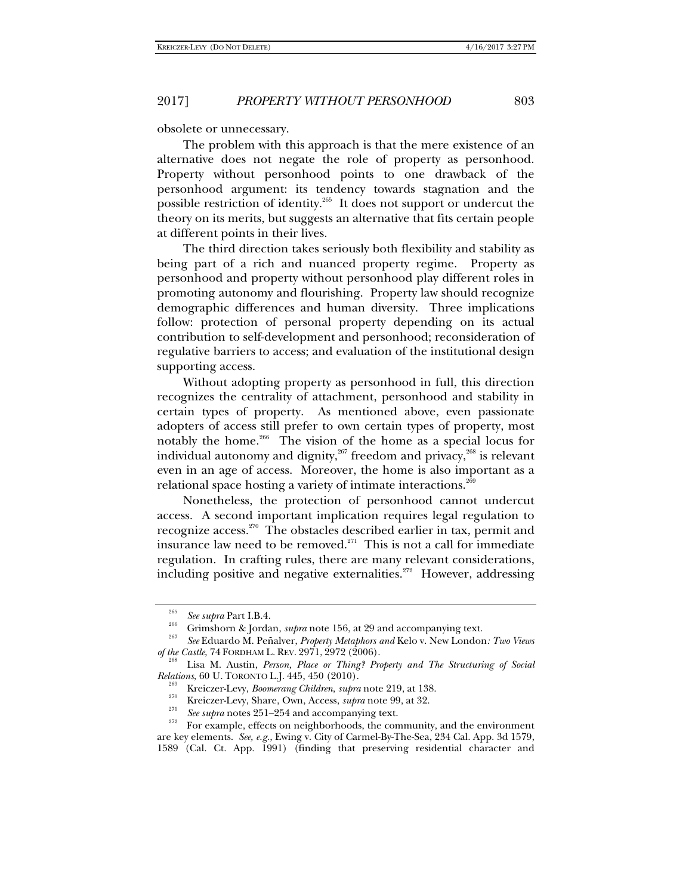obsolete or unnecessary.

The problem with this approach is that the mere existence of an alternative does not negate the role of property as personhood. Property without personhood points to one drawback of the personhood argument: its tendency towards stagnation and the possible restriction of identity.<sup>265</sup> It does not support or undercut the theory on its merits, but suggests an alternative that fits certain people at different points in their lives.

The third direction takes seriously both flexibility and stability as being part of a rich and nuanced property regime. Property as personhood and property without personhood play different roles in promoting autonomy and flourishing. Property law should recognize demographic differences and human diversity. Three implications follow: protection of personal property depending on its actual contribution to self-development and personhood; reconsideration of regulative barriers to access; and evaluation of the institutional design supporting access.

Without adopting property as personhood in full, this direction recognizes the centrality of attachment, personhood and stability in certain types of property. As mentioned above, even passionate adopters of access still prefer to own certain types of property, most notably the home.266 The vision of the home as a special locus for individual autonomy and dignity, $267$  freedom and privacy, $268$  is relevant even in an age of access. Moreover, the home is also important as a relational space hosting a variety of intimate interactions.<sup>269</sup>

Nonetheless, the protection of personhood cannot undercut access. A second important implication requires legal regulation to recognize access.270 The obstacles described earlier in tax, permit and insurance law need to be removed. $271$  This is not a call for immediate regulation. In crafting rules, there are many relevant considerations, including positive and negative externalities.<sup>272</sup> However, addressing

<sup>&</sup>lt;sup>265</sup> *See supra* Part I.B.4.<br><sup>266</sup> Grimshorn & Jordan, *supra* note 156, at 29 and accompanying text.

*See* Eduardo M. Peñalver, *Property Metaphors and* Kelo v. New London*: Two Views of the Castle*, 74 FORDHAM L. REV. 2971, 2972 (2006).

Lisa M. Austin, *Person, Place or Thing? Property and The Structuring of Social Relations*, 60 U. TORONTO L.J. 445, 450 (2010).<br><sup>269</sup> Kreiczer-Levy, *Boomerang Children, supra* note 219, at 138.

<sup>&</sup>lt;sup>270</sup> Kreiczer-Levy, Share, Own, Access, *supra* note 99, at 32.<br> *See supra* notes 251–254 and accompanying text.<br>
For example, effects on neighborhoods, the community, and the environment are key elements. *See, e.g.,* Ewing v. City of Carmel-By-The-Sea, 234 Cal. App. 3d 1579, 1589 (Cal. Ct. App. 1991) (finding that preserving residential character and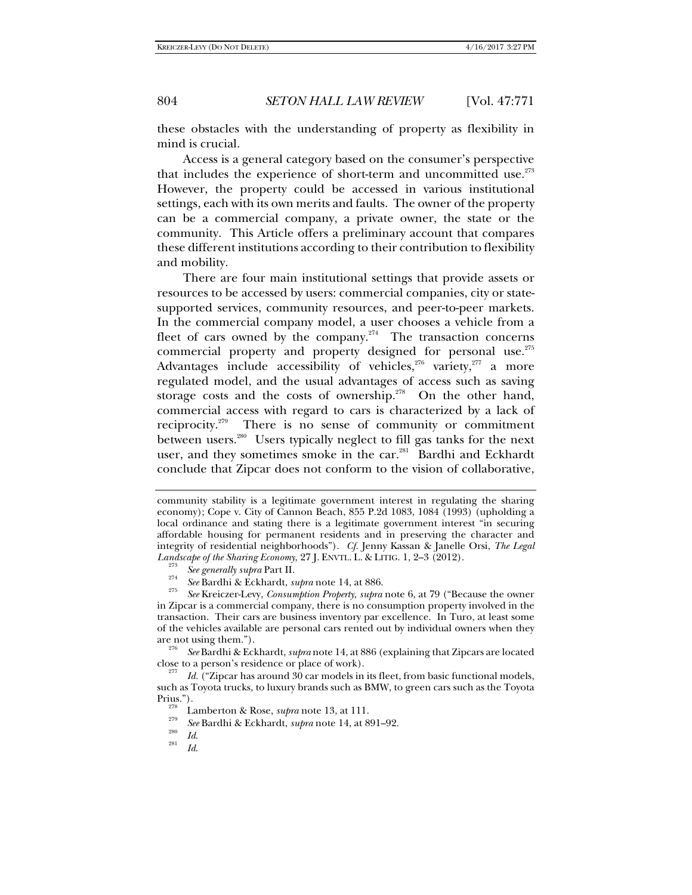these obstacles with the understanding of property as flexibility in mind is crucial.

Access is a general category based on the consumer's perspective that includes the experience of short-term and uncommitted use. $273$ However, the property could be accessed in various institutional settings, each with its own merits and faults. The owner of the property can be a commercial company, a private owner, the state or the community. This Article offers a preliminary account that compares these different institutions according to their contribution to flexibility and mobility.

There are four main institutional settings that provide assets or resources to be accessed by users: commercial companies, city or statesupported services, community resources, and peer-to-peer markets. In the commercial company model, a user chooses a vehicle from a fleet of cars owned by the company.<sup>274</sup> The transaction concerns commercial property and property designed for personal use.<sup>275</sup> Advantages include accessibility of vehicles,<sup>276</sup> variety,<sup>277</sup> a more regulated model, and the usual advantages of access such as saving storage costs and the costs of ownership. $278$  On the other hand, commercial access with regard to cars is characterized by a lack of reciprocity.<sup>279</sup> There is no sense of community or commitment between users.280 Users typically neglect to fill gas tanks for the next user, and they sometimes smoke in the car.<sup>281</sup> Bardhi and Eckhardt conclude that Zipcar does not conform to the vision of collaborative,

close to a person's residence or place of work).

community stability is a legitimate government interest in regulating the sharing economy); Cope v. City of Cannon Beach, 855 P.2d 1083, 1084 (1993) (upholding a local ordinance and stating there is a legitimate government interest "in securing affordable housing for permanent residents and in preserving the character and integrity of residential neighborhoods"). *Cf.* Jenny Kassan & Janelle Orsi, *The Legal Landscape of the Sharing Economy*, 27 J. ENVTL. L. & LITIG. 1, 2–3 (2012).<br><sup>273</sup> *See generally supra* Part II.

<sup>&</sup>lt;sup>2/4</sup> See Bardhi & Eckhardt, *supra* note 14, at 886.

*See* Kreiczer-Levy, *Consumption Property*, *supra* note 6, at 79 ("Because the owner in Zipcar is a commercial company, there is no consumption property involved in the transaction. Their cars are business inventory par excellence. In Turo, at least some of the vehicles available are personal cars rented out by individual owners when they are not using them."). 276 *See* Bardhi & Eckhardt, *supra* note 14, at 886 (explaining that Zipcars are located

Id. ("Zipcar has around 30 car models in its fleet, from basic functional models, such as Toyota trucks, to luxury brands such as BMW, to green cars such as the Toyota

<sup>&</sup>lt;sup>278</sup> Lamberton & Rose, *supra* note 13, at 111.

<sup>&</sup>lt;sup>279</sup> *See* Bardhi & Eckhardt, *supra* note 14, at 891–92.<br><sup>280</sup> *Id.* 281

*Id*.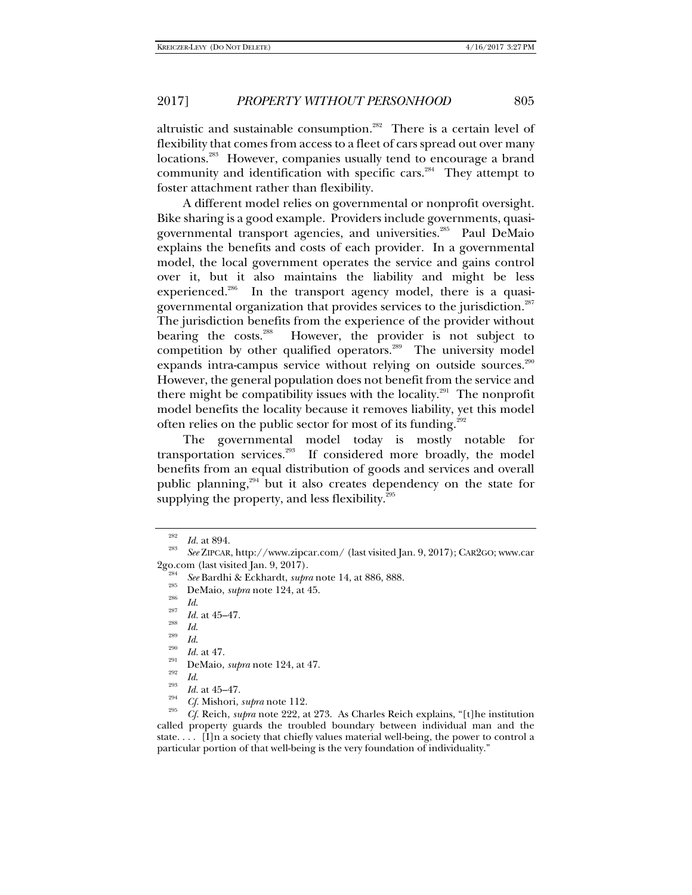altruistic and sustainable consumption.<sup>282</sup> There is a certain level of flexibility that comes from access to a fleet of cars spread out over many locations.<sup>283</sup> However, companies usually tend to encourage a brand community and identification with specific cars.<sup>284</sup> They attempt to foster attachment rather than flexibility.

A different model relies on governmental or nonprofit oversight. Bike sharing is a good example. Providers include governments, quasigovernmental transport agencies, and universities.<sup>285</sup> Paul DeMaio explains the benefits and costs of each provider. In a governmental model, the local government operates the service and gains control over it, but it also maintains the liability and might be less experienced.<sup>286</sup> In the transport agency model, there is a quasigovernmental organization that provides services to the jurisdiction.<sup>287</sup> The jurisdiction benefits from the experience of the provider without bearing the costs.<sup>288</sup> However, the provider is not subject to competition by other qualified operators.<sup>289</sup> The university model expands intra-campus service without relying on outside sources.<sup>290</sup> However, the general population does not benefit from the service and there might be compatibility issues with the locality.<sup>291</sup> The nonprofit model benefits the locality because it removes liability, yet this model often relies on the public sector for most of its funding.<sup>292</sup>

The governmental model today is mostly notable for transportation services. $293$  If considered more broadly, the model benefits from an equal distribution of goods and services and overall public planning,<sup>294</sup> but it also creates dependency on the state for supplying the property, and less flexibility. $295$ 

- <sup>201</sup> See Bardhi & Eckhardt, *supra* note 14, at 886, 888.<br><sup>285</sup> DeMaio, *supra* note 124, at 45.<br>*Id.*
- 

<sup>282</sup>

*Id.* at 894. 283 *See* ZIPCAR, http://www.zipcar.com/ (last visited Jan. 9, 2017); CAR2GO; www.car 2go.com (last visited Jan. 9, 2017).

 $\frac{^{287}}{^{288}}$  *Id.* at 45–47.

<sup>&</sup>lt;sup>289</sup> *Id.* <br><sup>290</sup> *Id.* at 47.

<sup>&</sup>lt;sup>291</sup> DeMaio, *supra* note 124, at 47.<br><sup>293</sup> *Id.* at 45–47.<br><sup>294</sup> *Cf.* Mishori, *supra* note 112.

<sup>&</sup>lt;sup>295</sup> *Cf.* Reich, *supra* note 222, at 273. As Charles Reich explains, "[t]he institution called property guards the troubled boundary between individual man and the state. . . . [I]n a society that chiefly values material well-being, the power to control a particular portion of that well-being is the very foundation of individuality."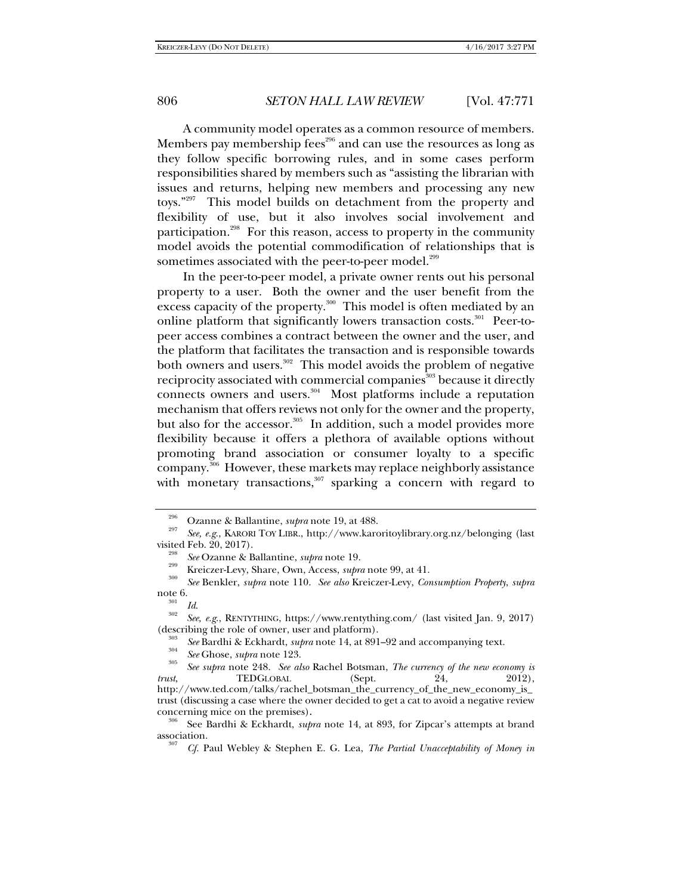A community model operates as a common resource of members. Members pay membership fees<sup> $296$ </sup> and can use the resources as long as they follow specific borrowing rules, and in some cases perform responsibilities shared by members such as "assisting the librarian with issues and returns, helping new members and processing any new toys."297 This model builds on detachment from the property and flexibility of use, but it also involves social involvement and participation.<sup>298</sup> For this reason, access to property in the community model avoids the potential commodification of relationships that is sometimes associated with the peer-to-peer model.<sup>299</sup>

In the peer-to-peer model, a private owner rents out his personal property to a user. Both the owner and the user benefit from the excess capacity of the property.<sup>300</sup> This model is often mediated by an online platform that significantly lowers transaction costs.<sup>301</sup> Peer-topeer access combines a contract between the owner and the user, and the platform that facilitates the transaction and is responsible towards both owners and users.<sup>302</sup> This model avoids the problem of negative reciprocity associated with commercial companies<sup>303</sup> because it directly connects owners and users.304 Most platforms include a reputation mechanism that offers reviews not only for the owner and the property, but also for the accessor.<sup>305</sup> In addition, such a model provides more flexibility because it offers a plethora of available options without promoting brand association or consumer loyalty to a specific company.306 However, these markets may replace neighborly assistance with monetary transactions, $307$  sparking a concern with regard to

<sup>296</sup>

Ozanne & Ballantine, *supra* note 19, at 488. <sup>297</sup> *See, e.g*., KARORI TOY LIBR., http://www.karoritoylibrary.org.nz/belonging (last visited Feb. 20, 2017).<br><sup>298</sup> *See* Ozanne & Ballantine, *supra* note 19.

<sup>&</sup>lt;sup>299</sup> Kreiczer-Levy, Share, Own, Access, *supra* note 99, at 41.

*See* Benkler, *supra* note 110. *See also* Kreiczer-Levy, *Consumption Property*, *supra* 

note 6.<br><sup>301</sup> *Id. See, e.g.*, RENTYTHING, https://www.rentything.com/ (last visited Jan. 9, 2017) (describing the role of owner, user and platform).

<sup>&</sup>lt;sup>303</sup> See Bardhi & Eckhardt, *supra* note 14, at 891–92 and accompanying text. *See* Ghose, *supra* note 123.

*See* Ghose, *supra* note 123. 305 *See supra* note 248. *See also* Rachel Botsman, *The currency of the new economy is trust*, TEDGLOBAL (Sept. 24, 2012), http://www.ted.com/talks/rachel\_botsman\_the\_currency\_of\_the\_new\_economy\_is\_ trust (discussing a case where the owner decided to get a cat to avoid a negative review

concerning mice on the premises).<br><sup>306</sup> See Bardhi & Eckhardt, *supra* note 14, at 893, for Zipcar's attempts at brand association.

*Cf.* Paul Webley & Stephen E. G. Lea, *The Partial Unacceptability of Money in*